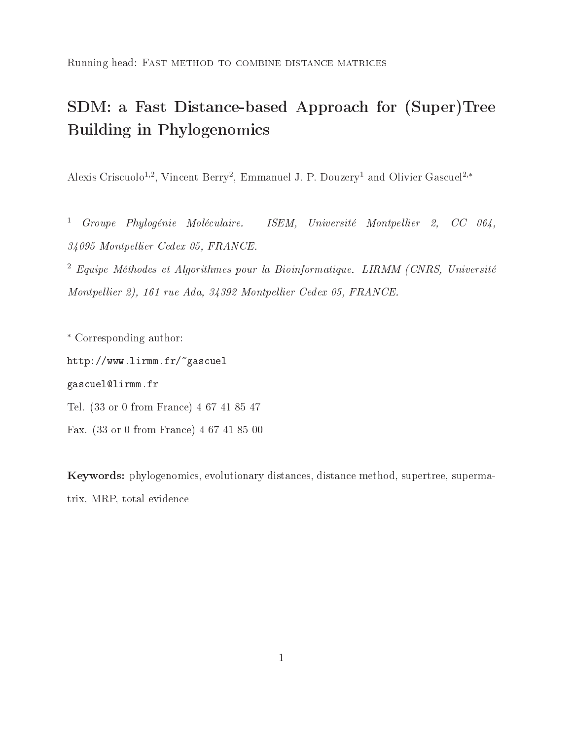Running head: Fast method to combine distance matrices

# SDM: a Fast Distance-based Approach for (Super)Tree Building in Phylogenomics

Alexis Criscuolo<sup>1,2</sup>, Vincent Berry<sup>2</sup>, Emmanuel J. P. Douzery<sup>1</sup> and Olivier Gascuel<sup>2,\*</sup>

<sup>1</sup> Groupe Phylogénie Moléculaire. ISEM, Université Montpellier 2, CC 064, 34095 Montpellier Cedex 05, FRANCE.

 $^2$  Equipe Méthodes et Algorithmes pour la Bioinformatique. LIRMM (CNRS, Université Montpellier 2), 161 rue Ada, 34392 Montpellier Cedex 05, FRANCE.

∗ Corresponding author:

http://www.lirmm.fr/~gascuel

#### gascuel@lirmm.fr

Tel. (33 or 0 from France) 4 67 41 85 47

Fax. (33 or 0 from France) 4 67 41 85 00

Keywords: phylogenomics, evolutionary distances, distance method, supertree, supermatrix, MRP, total evidence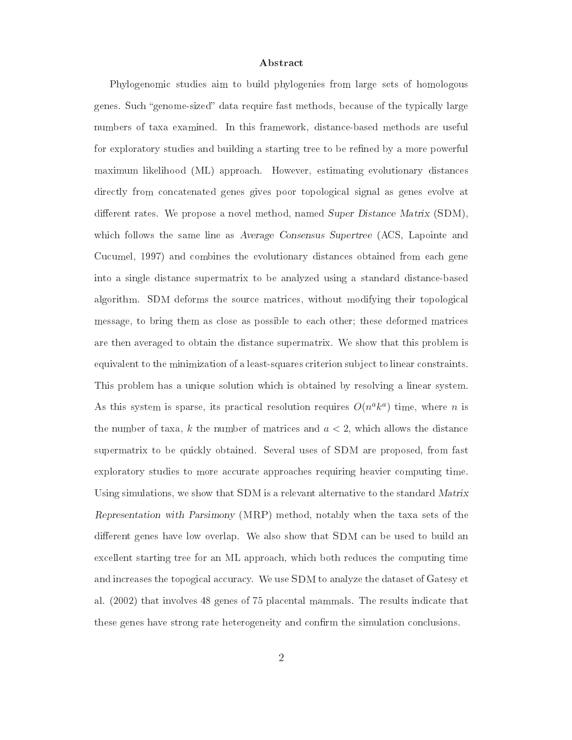#### Abstract

Phylogenomic studies aim to build phylogenies from large sets of homologous genes. Such "genome-sized" data require fast methods, because of the typically large numbers of taxa examined. In this framework, distance-based methods are useful for exploratory studies and building a starting tree to be refined by a more powerful maximum likelihood (ML) approach. However, estimating evolutionary distances directly from concatenated genes gives poor topological signal as genes evolve at different rates. We propose a novel method, named Super Distance Matrix  $(SDM)$ , which follows the same line as Average Consensus Supertree (ACS, Lapointe and Cucumel, 1997) and combines the evolutionary distances obtained from each gene into a single distance supermatrix to be analyzed using a standard distance-based algorithm. SDM deforms the source matrices, without modifying their topological message, to bring them as close as possible to each other; these deformed matrices are then averaged to obtain the distance supermatrix. We show that this problem is equivalent to the minimization of a least-squares criterion sub ject to linear constraints. This problem has a unique solution which is obtained by resolving a linear system. As this system is sparse, its practical resolution requires  $O(n^a k^a)$  time, where *n* is the number of taxa,  $k$  the number of matrices and  $a < 2$ , which allows the distance supermatrix to be quickly obtained. Several uses of SDM are proposed, from fast exploratory studies to more accurate approaches requiring heavier computing time. Using simulations, we show that SDM is a relevant alternative to the standard Matrix Representation with Parsimony (MRP) method, notably when the taxa sets of the different genes have low overlap. We also show that SDM can be used to build an excellent starting tree for an ML approach, which both reduces the computing time and increases the topogical accuracy. We use SDM to analyze the dataset of Gatesy et al. (2002) that involves 48 genes of 75 placental mammals. The results indicate that these genes have strong rate heterogeneity and confirm the simulation conclusions.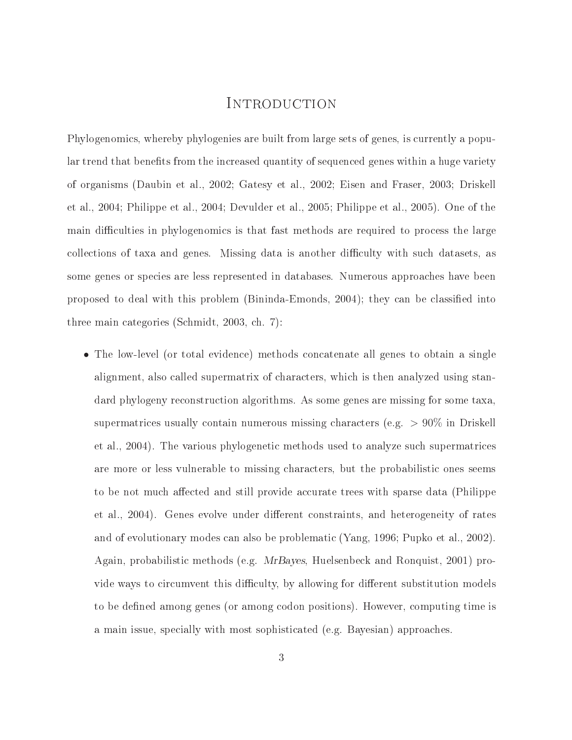### INTRODUCTION

Phylogenomics, whereby phylogenies are built from large sets of genes, is currently a popular trend that benefits from the increased quantity of sequenced genes within a huge variety of organisms (Daubin etal., 2002; Gatesy et al., 2002; Eisen and Fraser, 2003; Driskell et al., 2004; Philippe et al., 2004; Devulder et al., 2005; Philippe et al., 2005). One of the main difficulties in phylogenomics is that fast methods are required to process the large collections of taxa and genes. Missing data is another difficulty with such datasets, as some genes or species are less represented in databases. Numerous approaches have been proposed to deal with this problem (Bininda-Emonds, 2004); they can be classied into three main categories (Schmidt, 2003, ch. 7):

• The low-level (or total evidence) methods concatenate all genes to obtain a single alignment, also called supermatrix of characters, which is then analyzed using standard phylogeny reconstruction algorithms. As some genes are missing for some taxa, supermatrices usually contain numerous missing characters (e.g. <sup>&</sup>gt; 90% in Driskell et al., 2004). The various phylogenetic methods used to analyze such supermatrices are more or less vulnerable to missing characters, but the probabilistic ones seems to be not much affected and still provide accurate trees with sparse data (Philippe et al., 2004). Genes evolve under different constraints, and heterogeneity of rates and of evolutionary modes can also be problematic (Yang, 1996; Pupko et al., 2002). Again, probabilistic methods (e.g. MrBayes, Huelsenbeck and Ronquist, 2001) provide ways to circumvent this difficulty, by allowing for different substitution models to be defined among genes (or among codon positions). However, computing time is a main issue, specially with most sophisticated (e.g. Bayesian) approaches.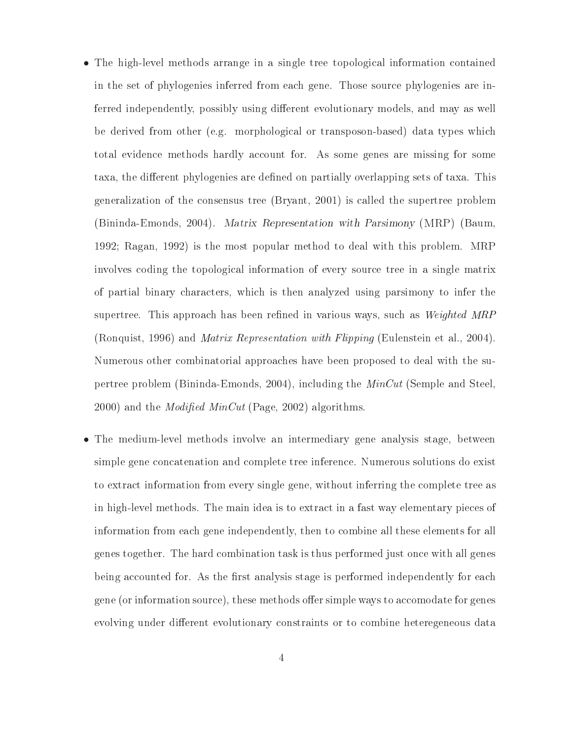- The high-level methods arrange in a single tree topological information contained in the set of phylogenies inferred from each gene. Those source phylogenies are inferred independently, possibly using different evolutionary models, and may as well be derived from other (e.g. morphological or transposon-based) data types which total evidence methods hardly account for. As some genes are missing for some taxa, the different phylogenies are defined on partially overlapping sets of taxa. This generalization of the consensus tree (Bryant, 2001) is called the supertree problem (Bininda-Emonds, 2004). Matrix Representation with Parsimony (MRP) (Baum, 1992; Ragan, 1992) is the most popular method to deal with this problem. MRP involves coding the topological information of every source tree in a single matrix of partial binary characters, which is then analyzed using parsimony to infer the supertree. This approach has been refined in various ways, such as *Weighted MRP* (Ronquist, 1996) and *Matrix Representation with Flipping* (Eulenstein et al., 2004). Numerous other combinatorial approaches have been proposed to deal with the supertree problem (Bininda-Emonds, 2004), including the MinCut (Semple and Steel,  $2000$ ) and the *Modified MinCut* (Page, 2002) algorithms.
- The medium-level methods involve an intermediary gene analysis stage, between simple gene concatenation and complete tree inference. Numerous solutions do exist to extract information from every single gene, without inferring the complete tree as in high-level methods. The main idea is to extract in a fast way elementary pieces of information from each gene independently, then to combine all these elements for all genes together. The hard combination task is thus performed just once with all genes being accounted for. As the first analysis stage is performed independently for each gene (or information source), these methods offer simple ways to accomodate for genes evolving under different evolutionary constraints or to combine heteregeneous data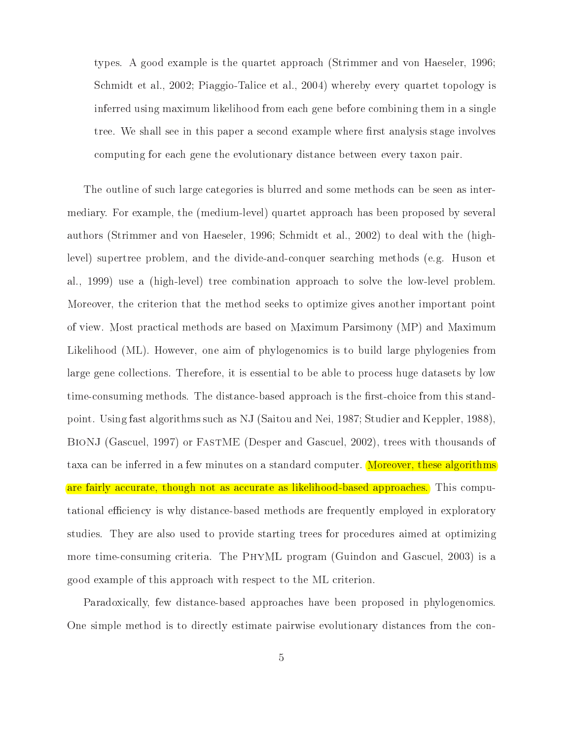types. A good example is the quartet approach (Strimmer and von Haeseler, 1996; Schmidt et al., 2002; Piaggio-Talice et al., 2004) whereby every quartet topology is inferred using maximum likelihood from each gene before combining them in a single tree. We shall see in this paper a second example where first analysis stage involves computing for each gene the evolutionary distance between every taxon pair.

The outline of such large categories is blurred and some methods can be seen as intermediary. For example, the (medium-level) quartet approach has been proposed by several authors (Strimmer and von Haeseler, 1996; Schmidt et al., 2002) to deal with the (highlevel) supertree problem, and the divide-and-conquer searching methods (e.g. Huson et al., 1999) use a (high-level) tree combination approach to solve the low-level problem. Moreover, the criterion that the method seeks to optimize gives another important point of view. Most practical methods are based on Maximum Parsimony (MP) and Maximum Likelihood (ML). However, one aim of phylogenomics is to build large phylogenies from large gene collections. Therefore, it is essential to be able to process huge datasets by low time-consuming methods. The distance-based approach is the first-choice from this standpoint. Using fast algorithms such as NJ (Saitou and Nei, 1987; Studier and Keppler, 1988), BioNJ (Gascuel, 1997) or FastME (Desper and Gascuel, 2002), trees with thousands of taxa can be inferred in a few minutes on a standard computer. Moreover, these algorithms are fairly accurate, though not as accurate as likelihood-based approaches. This computational efficiency is why distance-based methods are frequently employed in exploratory studies. They are also used to provide starting trees for procedures aimed at optimizing more time-consuming criteria. The PhyML program (Guindon and Gascuel, 2003) is a good example of this approach with respect to the ML criterion.

Paradoxically, few distance-based approaches have been proposed in phylogenomics. One simple method is to directly estimate pairwise evolutionary distances from the con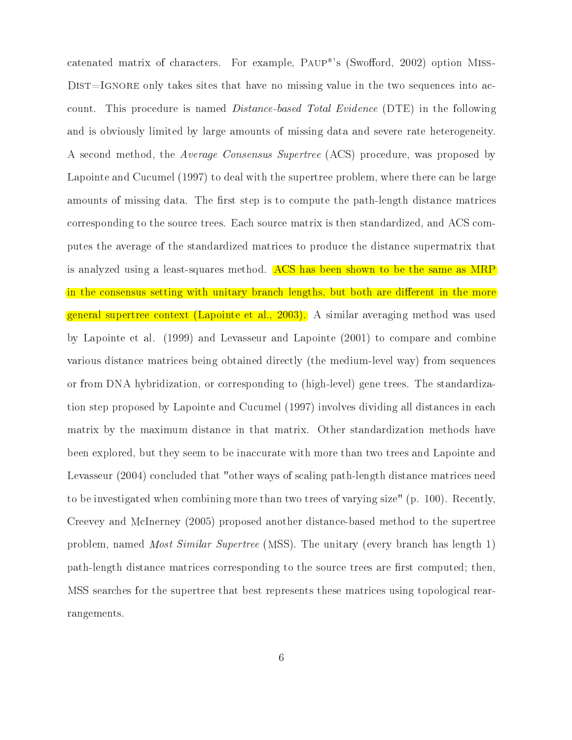catenated matrix of characters. For example, PAUP<sup>\*</sup>'s (Swofford, 2002) option MISS-DIST=IGNORE only takes sites that have no missing value in the two sequences into account. This procedure is named Distance-based Total Evidence (DTE) in the following and is obviously limited by large amounts of missing data and severe rate heterogeneity. A second method, the Average Consensus Supertree (ACS) procedure, was proposed by Lapointe and Cucumel (1997) to deal with the supertree problem, where there can be large amounts of missing data. The first step is to compute the path-length distance matrices corresponding to the source trees. Each source matrix is then standardized, and ACS computes the average of the standardized matrices to produce the distance supermatrix that is analyzed using a least-squares method. ACS has been shown to be the same as MRP in the consensus setting with unitary branch lengths, but both are different in the more general supertree context (Lapointe et al., 2003). A similar averaging method was used by Lapointe et al. (1999) and Levasseur and Lapointe (2001) to compare and combine various distance matrices being obtained directly (the medium-level way) from sequences or from DNA hybridization, or corresponding to (high-level) gene trees. The standardization step proposed by Lapointe and Cucumel (1997) involves dividing all distances in each matrix by the maximum distance in that matrix. Other standardization methods have been explored, but they seem to be inaccurate with more than two trees and Lapointe and Levasseur (2004) concluded that "other ways of scaling path-length distance matrices need to be investigated when combining more than two trees of varying size" (p. 100). Recently, Creevey and McInerney (2005) proposed another distance-based method to the supertree problem, named Most Similar Supertree (MSS). The unitary (every branch has length 1) path-length distance matrices corresponding to the source trees are first computed; then, MSS searches for the supertree that best represents these matrices using topological rearrangements.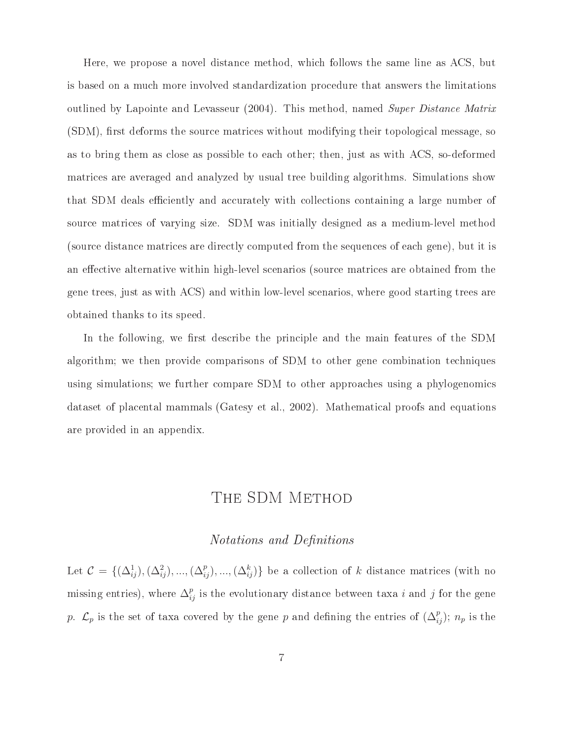Here, we propose a novel distance method, which follows the same line as ACS, but is based on a much more involved standardization procedure that answers the limitations outlined by Lapointe and Levasseur (2004). This method, named Super Distance Matrix  $(SDM)$ , first deforms the source matrices without modifying their topological message, so as to bring them as close as possible to each other; then, just as with ACS, so-deformed matrices are averaged and analyzed by usual tree building algorithms. Simulations show that SDM deals efficiently and accurately with collections containing a large number of source matrices of varying size. SDM was initially designed as a medium-level method (source distance matrices are directly computed from the sequences of each gene), but it is an effective alternative within high-level scenarios (source matrices are obtained from the gene trees, just as with ACS) and within low-level scenarios, where good starting trees are obtained thanks to its speed.

In the following, we first describe the principle and the main features of the SDM algorithm; we then provide comparisons of SDM to other gene combination techniques using simulations; we further compare SDM to other approaches using a phylogenomics dataset of placental mammals (Gatesy et al., 2002). Mathematical proofs and equations are provided in an appendix.

## THE SDM METHOD

#### Notations and Definitions

Let  $C = \{(\Delta_{ij}^1), (\Delta_{ij}^2), ..., (\Delta_{ij}^p), ..., (\Delta_{ij}^k)\}\$ be a collection of k distance matrices (with no missing entries), where  $\Delta_{ij}^p$  is the evolutionary distance between taxa i and j for the gene p.  $\mathcal{L}_p$  is the set of taxa covered by the gene p and defining the entries of  $(\Delta_{ij}^p)$ ;  $n_p$  is the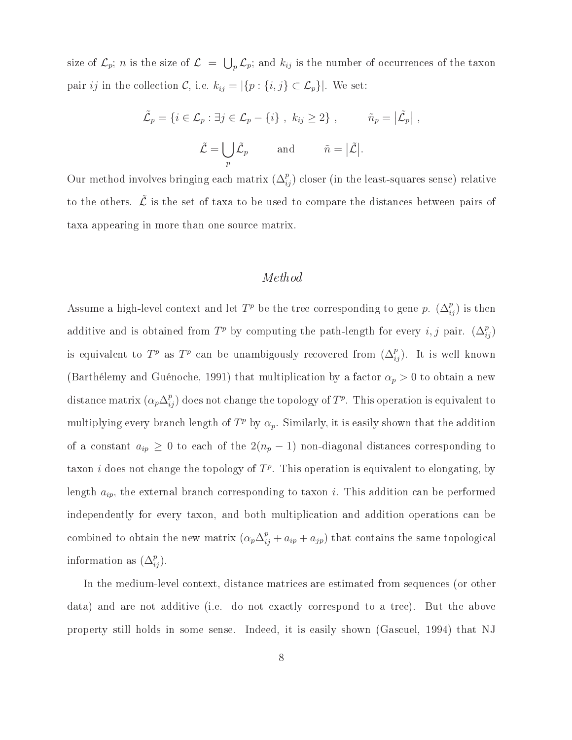size of  $\mathcal{L}_p$ ; *n* is the size of  $\mathcal{L} = \bigcup_p \mathcal{L}_p$ ; and  $k_{ij}$  is the number of occurrences of the taxon pair *ij* in the collection C, i.e.  $k_{ij} = |\{p : \{i, j\} \subset \mathcal{L}_p\}|$ . We set:

$$
\tilde{\mathcal{L}}_p = \{ i \in \mathcal{L}_p : \exists j \in \mathcal{L}_p - \{i\} , k_{ij} \ge 2 \}, \qquad \tilde{n}_p = |\tilde{\mathcal{L}}_p| ,
$$

$$
\tilde{\mathcal{L}} = \bigcup_p \tilde{\mathcal{L}}_p \qquad \text{and} \qquad \tilde{n} = |\tilde{\mathcal{L}}|.
$$

Our method involves bringing each matrix  $(\Delta_{ij}^p)$  closer (in the least-squares sense) relative to the others.  $\tilde{\mathcal{L}}$  is the set of taxa to be used to compare the distances between pairs of taxa appearing in more than one source matrix.

#### Method

Assume a high-level context and let  $T^p$  be the tree corresponding to gene p.  $(\Delta_{ij}^p)$  is then additive and is obtained from  $T^p$  by computing the path-length for every  $i, j$  pair.  $(\Delta_{ij}^p)$ is equivalent to  $T^p$  as  $T^p$  can be unambigously recovered from  $(\Delta_{ij}^p)$ . It is well known (Barthélemy and Guénoche, 1991) that multiplication by a factor  $\alpha_p > 0$  to obtain a new distance matrix  $(\alpha_p \Delta_{ij}^p)$  does not change the topology of  $T^p$ . This operation is equivalent to multiplying every branch length of  $T^p$  by  $\alpha_p$ . Similarly, it is easily shown that the addition of a constant  $a_{ip} \geq 0$  to each of the  $2(n_p - 1)$  non-diagonal distances corresponding to taxon i does not change the topology of  $T<sup>p</sup>$ . This operation is equivalent to elongating, by length  $a_{ip}$ , the external branch corresponding to taxon i. This addition can be performed independently for every taxon, and both multiplication and addition operations can be combined to obtain the new matrix  $(\alpha_p \Delta_{ij}^p + a_{ip} + a_{jp})$  that contains the same topological information as  $(\Delta_{ij}^p)$ .

In the medium-level context, distance matrices are estimated from sequences (or other data) and are not additive (i.e. do not exactly correspond to a tree). But the above property still holds in some sense. Indeed, it is easily shown (Gascuel, 1994) that NJ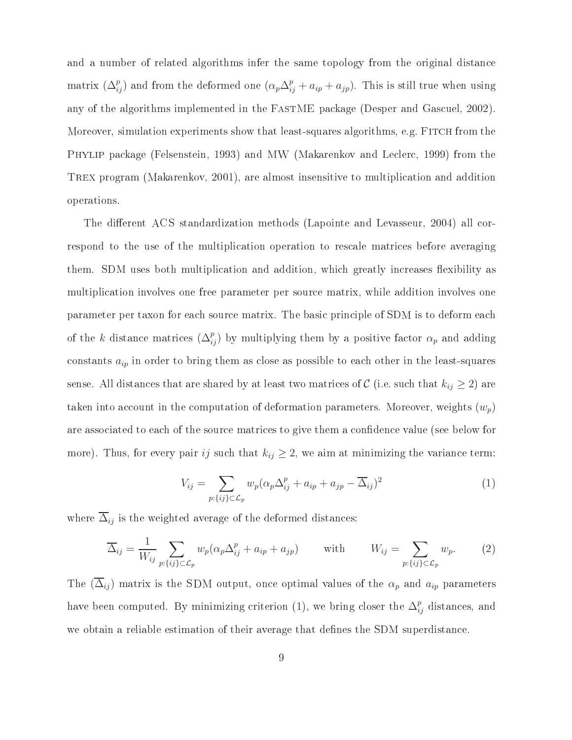and a number of related algorithms infer the same topology from the original distance matrix  $(\Delta_{ij}^p)$  and from the deformed one  $(\alpha_p \Delta_{ij}^p + a_{ip} + a_{jp})$ . This is still true when using any of the algorithms implemented in the FastME package (Desper and Gascuel, 2002). Moreover, simulation experiments show that least-squares algorithms, e.g. FITCH from the Phylip package (Felsenstein, 1993) and MW (Makarenkov and Leclerc, 1999) from the Trex program (Makarenkov, 2001), are almost insensitive to multiplication and addition operations.

The different ACS standardization methods (Lapointe and Levasseur, 2004) all correspond to the use of the multiplication operation to rescale matrices before averaging them. SDM uses both multiplication and addition, which greatly increases flexibility as multiplication involves one free parameter per source matrix, while addition involves one parameter per taxon for each source matrix. The basic principle of SDM is to deform each of the k distance matrices  $(\Delta_{ij}^p)$  by multiplying them by a positive factor  $\alpha_p$  and adding constants  $a_{ip}$  in order to bring them as close as possible to each other in the least-squares sense. All distances that are shared by at least two matrices of  $\mathcal C$  (i.e. such that  $k_{ij} \geq 2$ ) are taken into account in the computation of deformation parameters. Moreover, weights  $(w_p)$ are associated to each of the source matrices to give them a confidence value (see below for more). Thus, for every pair ij such that  $k_{ij} \geq 2$ , we aim at minimizing the variance term:

$$
V_{ij} = \sum_{p:\{ij\} \subset \mathcal{L}_p} w_p (\alpha_p \Delta_{ij}^p + a_{ip} + a_{jp} - \overline{\Delta}_{ij})^2
$$
 (1)

where  $\overline{\Delta}_{ij}$  is the weighted average of the deformed distances:

$$
\overline{\Delta}_{ij} = \frac{1}{W_{ij}} \sum_{p:\{ij\} \subset \mathcal{L}_p} w_p(\alpha_p \Delta_{ij}^p + a_{ip} + a_{jp}) \quad \text{with} \quad W_{ij} = \sum_{p:\{ij\} \subset \mathcal{L}_p} w_p. \quad (2)
$$

The  $(\overline{\Delta}_{ij})$  matrix is the SDM output, once optimal values of the  $\alpha_p$  and  $a_{ip}$  parameters have been computed. By minimizing criterion (1), we bring closer the  $\Delta_{ij}^p$  distances, and we obtain a reliable estimation of their average that defines the SDM superdistance.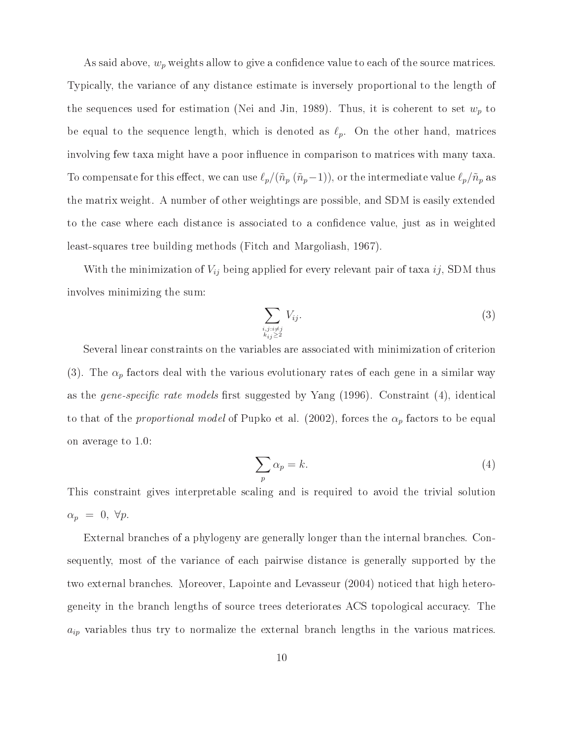As said above,  $w_p$  weights allow to give a confidence value to each of the source matrices. Typically, the variance of any distance estimate is inversely proportional to the length of the sequences used for estimation (Nei and Jin, 1989). Thus, it is coherent to set  $w_p$  to be equal to the sequence length, which is denoted as  $\ell_p$ . On the other hand, matrices involving few taxa might have a poor influence in comparison to matrices with many taxa. To compensate for this effect, we can use  $\ell_p/(\tilde{n}_p \tilde{n}_p-1)$ , or the intermediate value  $\ell_p/\tilde{n}_p$  as the matrix weight. A number of other weightings are possible, and SDM is easily extended to the case where each distance is associated to a confidence value, just as in weighted least-squares tree building methods (Fitch and Margoliash, 1967).

With the minimization of  $V_{ij}$  being applied for every relevant pair of taxa ij, SDM thus involves minimizing the sum:

$$
\sum_{\substack{i,j:i\neq j\\k_{ij}\geq 2}} V_{ij}.\tag{3}
$$

Several linear constraints on the variables are associated with minimization of criterion (3). The  $\alpha_p$  factors deal with the various evolutionary rates of each gene in a similar way as the *gene-specific rate models* first suggested by Yang  $(1996)$ . Constraint  $(4)$ , identical to that of the proportional model of Pupko et al. (2002), forces the  $\alpha_p$  factors to be equal on average to 1.0:

$$
\sum_{p} \alpha_p = k. \tag{4}
$$

This constraint gives interpretable scaling and is required to avoid the trivial solution  $\alpha_p = 0, \forall p.$ 

External branches of a phylogeny are generally longer than the internal branches. Consequently, most of the variance of each pairwise distance is generally supported by the two external branches. Moreover, Lapointe and Levasseur (2004) noticed that high heterogeneity in the branch lengths of source trees deteriorates ACS topological accuracy. The  $a_{ip}$  variables thus try to normalize the external branch lengths in the various matrices.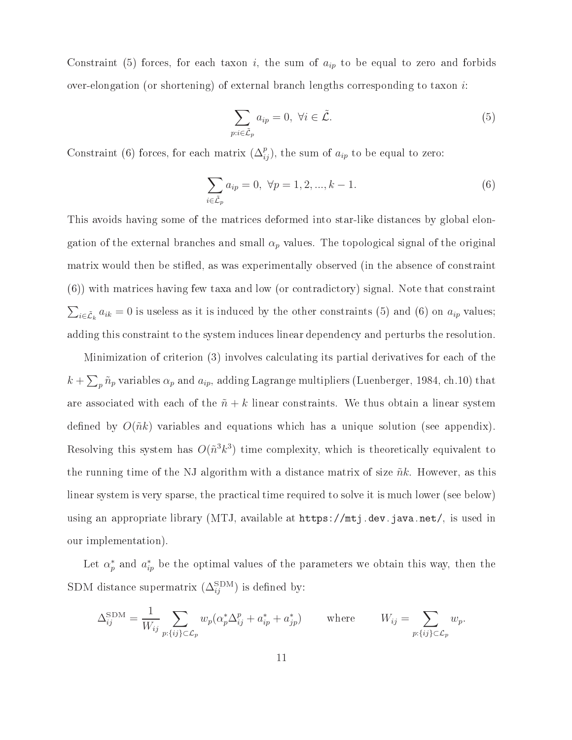Constraint (5) forces, for each taxon i, the sum of  $a_{ip}$  to be equal to zero and forbids over-elongation (or shortening) of external branch lengths corresponding to taxon i:

$$
\sum_{p:i\in\tilde{\mathcal{L}}_p} a_{ip} = 0, \ \forall i \in \tilde{\mathcal{L}}.\tag{5}
$$

Constraint (6) forces, for each matrix  $(\Delta_{ij}^p)$ , the sum of  $a_{ip}$  to be equal to zero:

$$
\sum_{i \in \tilde{\mathcal{L}}_p} a_{ip} = 0, \ \forall p = 1, 2, ..., k - 1.
$$
 (6)

This avoids having some of the matrices deformed into star-like distances by global elongation of the external branches and small  $\alpha_p$  values. The topological signal of the original matrix would then be stiffed, as was experimentally observed (in the absence of constraint (6)) with matrices having few taxa and low (or contradictory) signal. Note that constraint  $\sum_{i\in\tilde{\mathcal{L}}_k} a_{ik} = 0$  is useless as it is induced by the other constraints (5) and (6) on  $a_{ip}$  values; adding this constraint to the system induces linear dependency and perturbs the resolution.

Minimization of criterion (3) involves calculating its partial derivatives for each of the  $k + \sum_{p} \tilde{n}_p$  variables  $\alpha_p$  and  $a_{ip}$ , adding Lagrange multipliers (Luenberger, 1984, ch.10) that are associated with each of the  $\tilde{n}+k$  linear constraints. We thus obtain a linear system defined by  $O(\tilde{n}k)$  variables and equations which has a unique solution (see appendix). Resolving this system has  $O(\tilde{n}^3k^3)$  time complexity, which is theoretically equivalent to the running time of the NJ algorithm with a distance matrix of size  $\tilde{n}k$ . However, as this linear system is very sparse, the practical time required to solve it is much lower (see below) using an appropriate library (MTJ, available at https://mtj.dev.java.net/, is used in our implementation).

Let  $\alpha_p^*$  and  $a_{ip}^*$  be the optimal values of the parameters we obtain this way, then the SDM distance supermatrix  $(\Delta_{ij}^{\dots})$  is defined by:

$$
\Delta_{ij}^{\text{SDM}} = \frac{1}{W_{ij}} \sum_{p:\{ij\} \subset \mathcal{L}_p} w_p(\alpha_p^* \Delta_{ij}^p + a_{ip}^* + a_{jp}^*) \qquad \text{where} \qquad W_{ij} = \sum_{p:\{ij\} \subset \mathcal{L}_p} w_p.
$$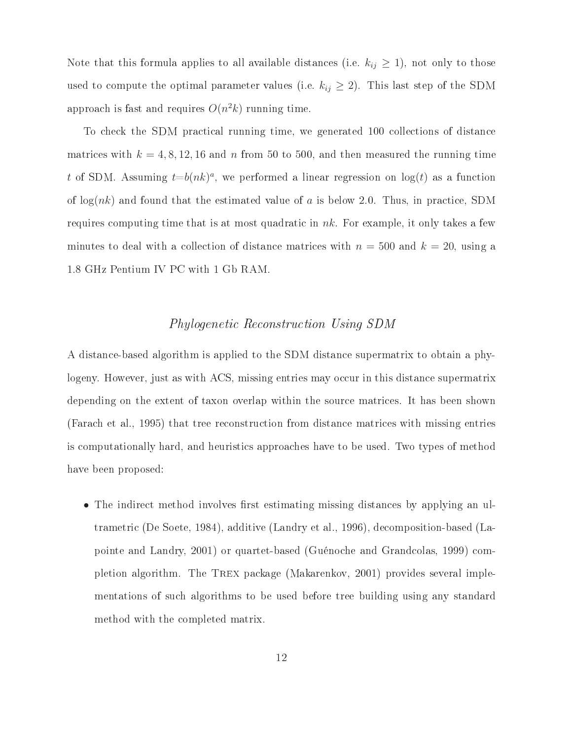Note that this formula applies to all available distances (i.e.  $k_{ij} \geq 1$ ), not only to those used to compute the optimal parameter values (i.e.  $k_{ij} \geq 2$ ). This last step of the SDM approach is fast and requires  $O(n^2k)$  running time.

To check the SDM practical running time, we generated 100 collections of distance matrices with  $k = 4, 8, 12, 16$  and n from 50 to 500, and then measured the running time t of SDM. Assuming  $t=b(nk)^a$ , we performed a linear regression on  $log(t)$  as a function of  $log(nk)$  and found that the estimated value of a is below 2.0. Thus, in practice, SDM requires computing time that is at most quadratic in  $nk$ . For example, it only takes a few minutes to deal with a collection of distance matrices with  $n = 500$  and  $k = 20$ , using a 1.8 GHz Pentium IV PC with 1 Gb RAM.

#### Phylogenetic Reconstruction Using SDM

A distance-based algorithm is applied to the SDM distance supermatrix to obtain a phylogeny. However, just as with ACS, missing entries may occur in this distance supermatrix depending on the extent of taxon overlap within the source matrices. It has been shown (Farach etal., 1995) that tree reconstruction from distance matrices with missing entries is computationally hard, and heuristics approaches have to be used. Two types of method have been proposed:

• The indirect method involves first estimating missing distances by applying an ultrametric (De Soete, 1984), additive (Landry et al., 1996), decomposition-based (Lapointe and Landry, 2001) or quartet-based (Guénoche and Grandcolas, 1999) completion algorithm. The Trex package (Makarenkov, 2001) provides several implementations of such algorithms to be used before tree building using any standard method with the completed matrix.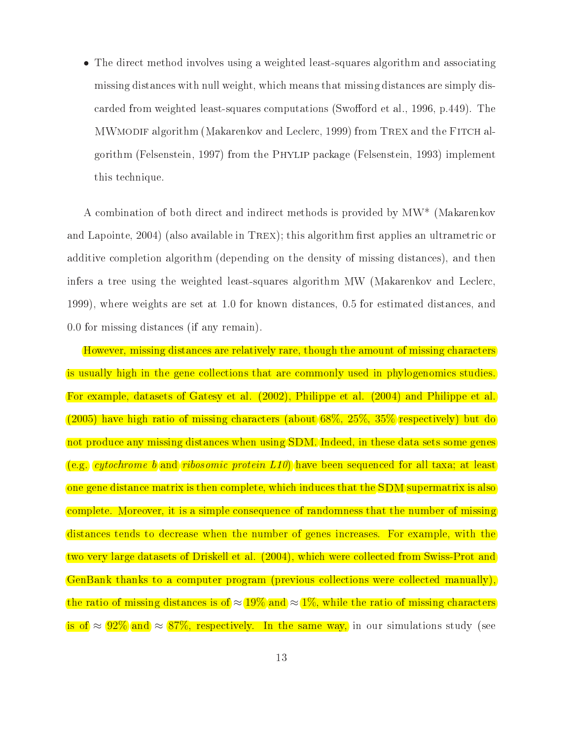• The direct method involves using a weighted least-squares algorithm and associating missing distances with null weight, which means that missing distances are simply discarded from weighted least-squares computations (Swofford et al., 1996, p.449). The MWmodif algorithm (Makarenkov and Leclerc, 1999) from Trex and the Fitch algorithm (Felsenstein, 1997) from the Phylip package (Felsenstein, 1993) implement this technique.

A combination of both direct and indirect methods is provided by MW\* (Makarenkov and Lapointe,  $2004$ ) (also available in TREX); this algorithm first applies an ultrametric or additive completion algorithm (depending on the density of missing distances), and then infers a tree using the weighted least-squares algorithm MW (Makarenkov and Leclerc, 1999), where weights are set at 1.0 for known distances, 0.5 for estimated distances, and 0.0 for missing distances (if any remain).

However, missing distances are relatively rare, though the amount of missing characters is usually high in the gene collections that are commonly used in phylogenomics studies. For example, datasets of Gatesy et al. (2002), Philippe et al. (2004) and Philippe et al. (2005) have high ratio of missing characters (about 68%, 25%, 35% respectively) but do not produce any missing distances when using SDM. Indeed, in these data sets some genes (e.g. *cytochrome b* and *ribosomic protein L10*) have been sequenced for all taxa; at least one gene distance matrix is then complete, which induces that the SDM supermatrix is also complete. Moreover, it is a simple consequence of randomness that the number of missing distances tends to decrease when the number of genes increases. For example, with the two very large datasets of Driskell et al. (2004), which were collected from Swiss-Prot and GenBank thanks to a computer program (previous collections were collected manually), the ratio of missing distances is of  $\approx 19\%$  and  $\approx 1\%$ , while the ratio of missing characters is of  $\approx 92\%$  and  $\approx 87\%$ , respectively. In the same way, in our simulations study (see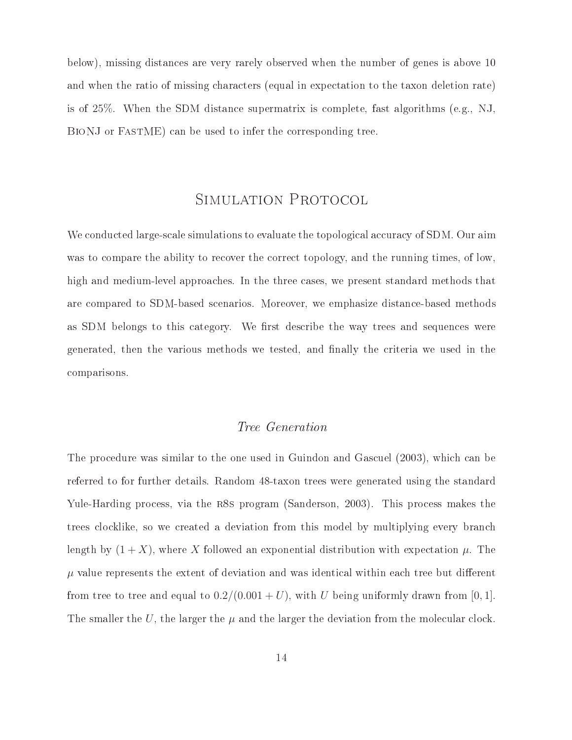below), missing distances are very rarely observed when the number of genes is above 10 and when the ratio of missing characters (equal in expectation to the taxon deletion rate) is of 25%. When the SDM distance supermatrix is complete, fast algorithms (e.g., NJ, BIONJ or FASTME) can be used to infer the corresponding tree.

## SIMULATION PROTOCOL

We conducted large-scale simulations to evaluate the topological accuracy of SDM. Our aim was to compare the ability to recover the correct topology, and the running times, of low, high and medium-level approaches. In the three cases, we present standard methods that are compared to SDM-based scenarios. Moreover, we emphasize distance-based methods as SDM belongs to this category. We first describe the way trees and sequences were generated, then the various methods we tested, and finally the criteria we used in the comparisons.

#### Tree Generation

The procedure was similar to the one used in Guindon and Gascuel (2003), which can be referred to for further details. Random 48-taxon trees were generated using the standard Yule-Harding process, via the r8s program (Sanderson, 2003). This process makes the trees clocklike, so we created a deviation from this model by multiplying every branch length by  $(1 + X)$ , where X followed an exponential distribution with expectation  $\mu$ . The  $\mu$  value represents the extent of deviation and was identical within each tree but different from tree to tree and equal to  $0.2/(0.001 + U)$ , with U being uniformly drawn from [0, 1]. The smaller the U, the larger the  $\mu$  and the larger the deviation from the molecular clock.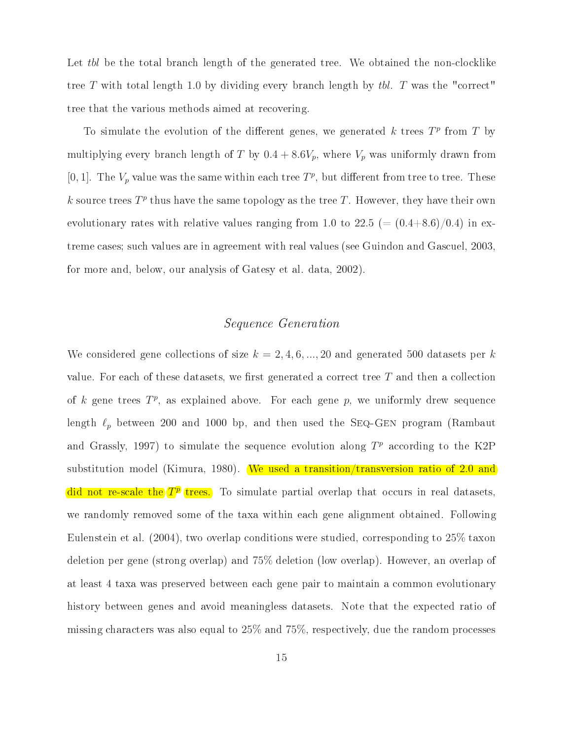Let tbl be the total branch length of the generated tree. We obtained the non-clocklike tree  $T$  with total length 1.0 by dividing every branch length by tbl.  $T$  was the "correct" tree that the various methods aimed at recovering.

To simulate the evolution of the different genes, we generated k trees  $T<sup>p</sup>$  from T by multiplying every branch length of T by  $0.4 + 8.6V_p$ , where  $V_p$  was uniformly drawn from [0, 1]. The  $V_p$  value was the same within each tree  $T^p$ , but different from tree to tree. These k source trees  $T^p$  thus have the same topology as the tree T. However, they have their own evolutionary rates with relative values ranging from 1.0 to 22.5 (=  $(0.4+8.6)/0.4$ ) in extreme cases; such values are in agreement with real values (see Guindon and Gascuel, 2003, for more and, below, our analysis of Gatesy et al. data, 2002).

#### Sequence Generation

We considered gene collections of size  $k = 2, 4, 6, ..., 20$  and generated 500 datasets per k value. For each of these datasets, we first generated a correct tree  $T$  and then a collection of k gene trees  $T^p$ , as explained above. For each gene p, we uniformly drew sequence length  $\ell_p$  between 200 and 1000 bp, and then used the SEQ-GEN program (Rambaut and Grassly, 1997) to simulate the sequence evolution along  $T<sup>p</sup>$  according to the K2P substitution model (Kimura, 1980). We used a transition/transversion ratio of 2.0 and did not re-scale the  $T^2$  trees. To simulate partial overlap that occurs in real datasets, we randomly removed some of the taxa within each gene alignment obtained. Following Eulenstein et al. (2004), two overlap conditions were studied, corresponding to 25% taxon deletion per gene (strong overlap) and 75% deletion (low overlap). However, an overlap of at least 4 taxa was preserved between each gene pair to maintain a common evolutionary history between genes and avoid meaningless datasets. Note that the expected ratio of missing characters was also equal to 25% and 75%, respectively, due the random processes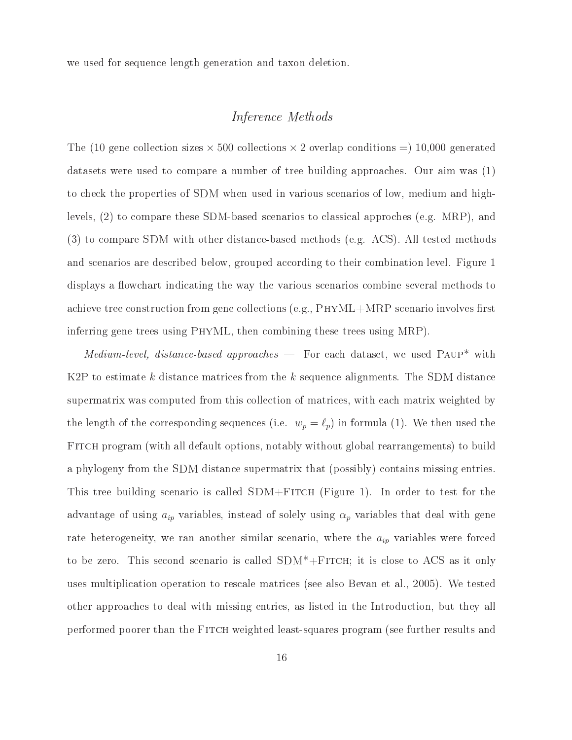we used for sequence length generation and taxon deletion.

#### Inference Methods

The (10 gene collection sizes  $\times$  500 collections  $\times$  2 overlap conditions =) 10,000 generated datasets were used to compare a number of tree building approaches. Our aim was (1) to check the properties of SDM when used in various scenarios of low, medium and highlevels, (2) to compare these SDM-based scenarios to classical approches (e.g. MRP), and (3) to compare SDM with other distance-based methods (e.g. ACS). All tested methods and scenarios are described below, grouped according to their combination level. Figure 1 displays a flow chart indicating the way the various scenarios combine several methods to achieve tree construction from gene collections (e.g.,  $PHYML+MRP$  scenario involves first inferring gene trees using PhyML, then combining these trees using MRP).

 $Median-level, distance-based approaches$  For each dataset, we used PAUP\* with K2P to estimate k distance matrices from the k sequence alignments. The SDM distance supermatrix was computed from this collection of matrices, with each matrix weighted by the length of the corresponding sequences (i.e.  $w_p = \ell_p$ ) in formula (1). We then used the FITCH program (with all default options, notably without global rearrangements) to build a phylogeny from the SDM distance supermatrix that (possibly) contains missing entries. This tree building scenario is called  $SDM + F$ ITCH (Figure 1). In order to test for the advantage of using  $a_{ip}$  variables, instead of solely using  $\alpha_p$  variables that deal with gene rate heterogeneity, we ran another similar scenario, where the  $a_{ip}$  variables were forced to be zero. This second scenario is called  $SDM^* + FITCH$ ; it is close to ACS as it only uses multiplication operation to rescale matrices (see also Bevan etal., 2005). We tested other approaches to deal with missing entries, as listed in the Introduction, but they all performed poorer than the Fitch weighted least-squares program (see further results and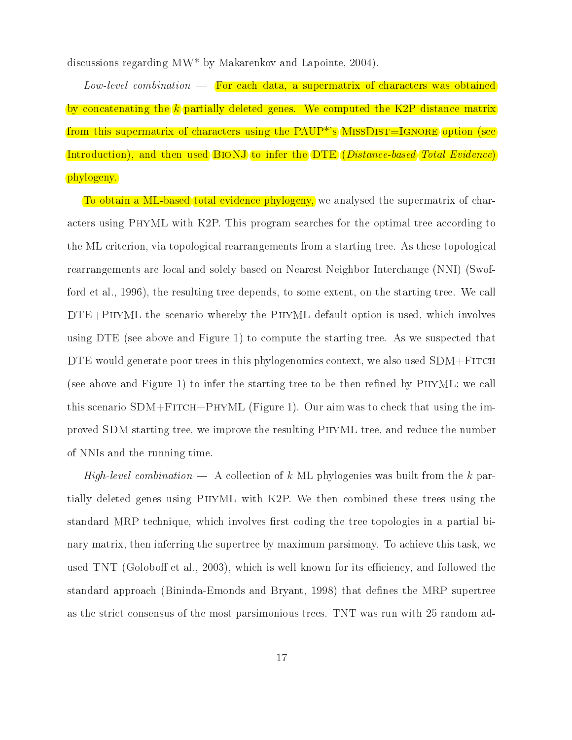discussions regarding MW\* by Makarenkov and Lapointe, 2004).

 $Low-level combination$  For each data, a supermatrix of characters was obtained by concatenating the  $k$  partially deleted genes. We computed the K2P distance matrix from this supermatrix of characters using the  $PAUP^{**}s$  MISSDIST=IGNORE option (see Introduction), and then used BioNJ to infer the DTE (Distance-based Total Evidence) phylogeny.

To obtain a ML-based total evidence phylogeny, we analysed the supermatrix of characters using PhyML with K2P. This program searches for the optimal tree according to the ML criterion, via topological rearrangements from a starting tree. As these topological rearrangements are local and solely based on Nearest Neighbor Interchange (NNI) (Swofford et al., 1996), the resulting tree depends, to some extent, on the starting tree. We call  $DTE+PHYML$  the scenario whereby the PHYML default option is used, which involves using DTE (see above and Figure 1) to compute the starting tree. As we suspected that DTE would generate poor trees in this phylogenomics context, we also used  $SDM + F$ ITCH (see above and Figure 1) to infer the starting tree to be then refined by  $PHYML$ ; we call this scenario  $SDM + FITCH + PHYML$  (Figure 1). Our aim was to check that using the improved SDM starting tree, we improve the resulting PhyML tree, and reduce the number of NNIs and the running time.

High-level combination  $-$  A collection of k ML phylogenies was built from the k partially deleted genes using PhyML with K2P. We then combined these trees using the standard MRP technique, which involves first coding the tree topologies in a partial binary matrix, then inferring the supertree by maximum parsimony. To achieve this task, we used TNT (Goloboff et al., 2003), which is well known for its efficiency, and followed the standard approach (Bininda-Emonds and Bryant, 1998) that defines the MRP supertree as the strict consensus of the most parsimonious trees. TNT was run with 25 random ad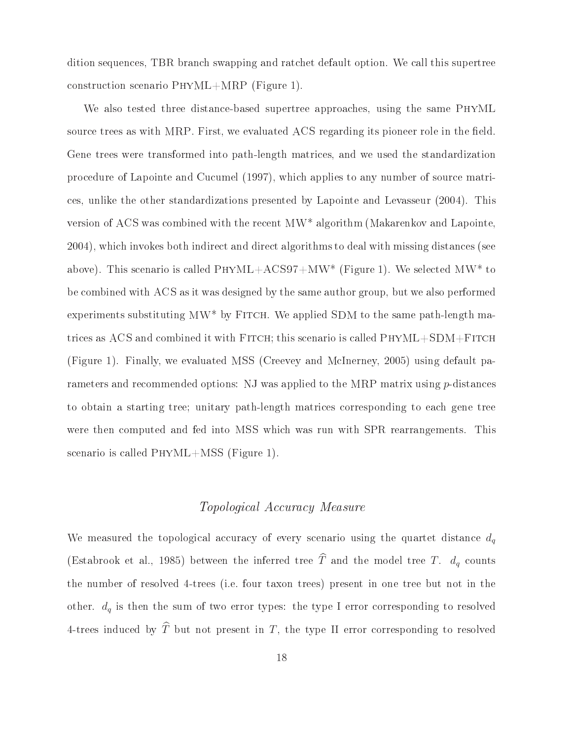dition sequences, TBR branch swapping and ratchet default option. We call this supertree construction scenario PhyML+MRP (Figure 1).

We also tested three distance-based supertree approaches, using the same PhyML source trees as with MRP. First, we evaluated ACS regarding its pioneer role in the field. Gene trees were transformed into path-length matrices, and we used the standardization procedure of Lapointe and Cucumel (1997), which applies to any number of source matrices, unlike the other standardizations presented by Lapointe and Levasseur (2004). This version of ACS was combined with the recent MW\* algorithm (Makarenkov and Lapointe, 2004), which invokes both indirect and direct algorithms to deal with missing distances (see above). This scenario is called  $PHYML+ACS97+MW^*$  (Figure 1). We selected MW<sup>\*</sup> to be combined with ACS as it was designed by the same author group, but we also performed experiments substituting  $MW^*$  by FITCH. We applied SDM to the same path-length matrices as ACS and combined it with Fitch; this scenario is called PhyML+SDM+Fitch (Figure 1). Finally, we evaluated MSS (Creevey and McInerney, 2005) using default parameters and recommended options: NJ was applied to the MRP matrix using p-distances to obtain a starting tree; unitary path-length matrices corresponding to each gene tree were then computed and fed into MSS which was run with SPR rearrangements. This scenario is called PhyML+MSS (Figure 1).

#### Topological Accuracy Measure

We measured the topological accuracy of every scenario using the quartet distance  $d_q$ (Estabrook et al., 1985) between the inferred tree  $\widehat{T}$  and the model tree T.  $d_q$  counts the number of resolved 4-trees (i.e. four taxon trees) present in one tree but not in the other.  $d_q$  is then the sum of two error types: the type I error corresponding to resolved 4-trees induced by  $\widehat{T}$  but not present in T, the type II error corresponding to resolved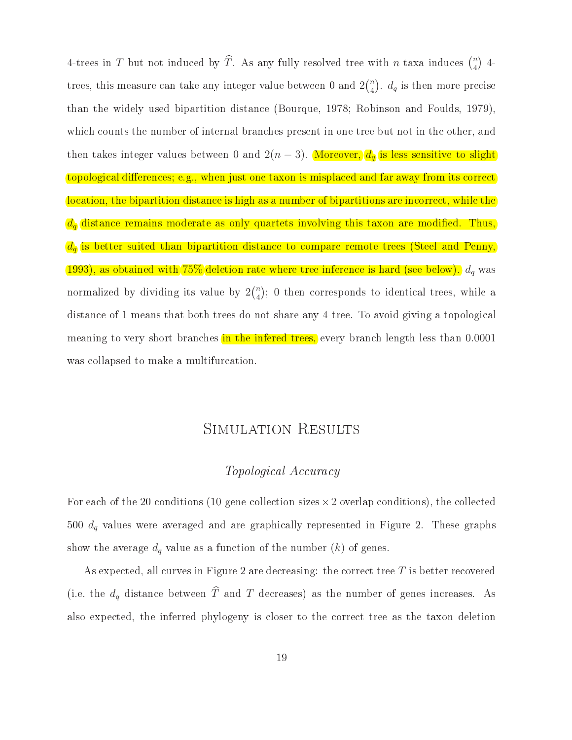4-trees in T but not induced by  $\widehat{T}$ . As any fully resolved tree with n taxa induces  $\binom{n}{4}$  4- $\frac{1}{\sqrt{4}}$  $\binom{n}{4}$ .  $d_q$  is then more precise than the widely used bipartition distance (Bourque, 1978; Robinson and Foulds, 1979), which counts the number of internal branches present in one tree but not in the other, and then takes integer values between 0 and  $2(n-3)$ . Moreover,  $\frac{d}{d}$  is less sensitive to slight topological differences; e.g., when just one taxon is misplaced and far away from its correct location, the bipartition distance is high as a number of bipartitions are incorrect, while the  $\overline{d}_{\overline{q}}$  distance remains moderate as only quartets involving this taxon are modified. Thus,  $d<sub>i</sub>$  is better suited than bipartition distance to compare remote trees (Steel and Penny, 1993), as obtained with  $75\%$  deletion rate where tree inference is hard (see below).  $d_q$  was normalized by dividing  $\sum_{i=1}^{\infty}$  is value by  $2\binom{1}{4}$ ,  $\sum_{i=1}^{\infty}$  $\binom{n}{4}$  $\mathcal{L}$  , or the corresponds to identical trees, while a  $\frac{d}{dt}$  is 1 means that both trees do not share any 4-tree. To avoid giving a topological meaning to very short branches in the infered trees, every branch length less than 0.0001 was collapsed to make a multifurcation.

## SIMULATION RESULTS

#### Topological Accuracy

For each of the 20 conditions (10 gene collection sizes  $\times$  2 overlap conditions), the collected 500  $d_q$  values were averaged and are graphically represented in Figure 2. These graphs show the average  $d_q$  value as a function of the number  $(k)$  of genes.

As expected, all curves in Figure 2 are decreasing: the correct tree  $T$  is better recovered (i.e. the  $d_q$  distance between  $\widehat{T}$  and  $T$  decreases) as the number of genes increases. As also expected, the inferred phylogeny is closer to the correct tree as the taxon deletion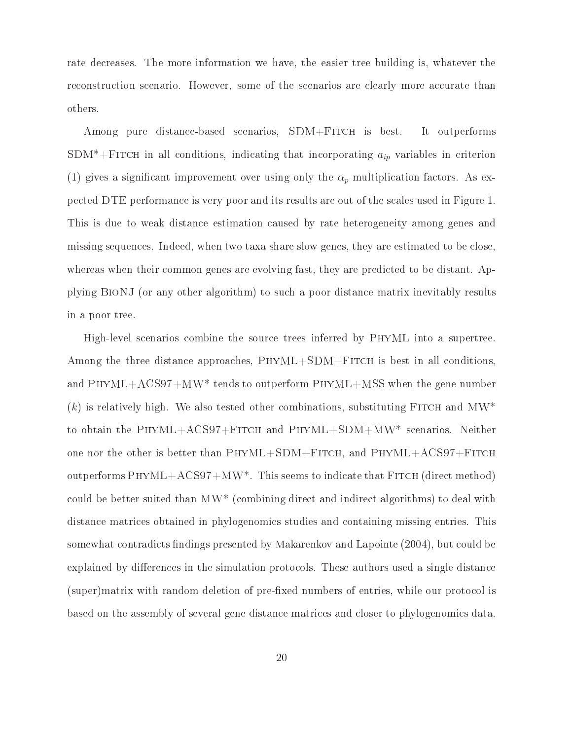rate decreases. The more information we have, the easier tree building is, whatever the reconstruction scenario. However, some of the scenarios are clearly more accurate than others.

Among pure distance-based scenarios, SDM+FITCH is best. It outperforms SDM<sup>\*</sup>+FITCH in all conditions, indicating that incorporating  $a_{ip}$  variables in criterion (1) gives a significant improvement over using only the  $\alpha_p$  multiplication factors. As expected DTE performance is very poor and its results are out of the scales used in Figure 1. This is due to weak distance estimation caused by rate heterogeneity among genes and missing sequences. Indeed, when two taxa share slow genes, they are estimated to be close, whereas when their common genes are evolving fast, they are predicted to be distant. Applying BioNJ (or any other algorithm) to such a poor distance matrix inevitably results in a poor tree.

High-level scenarios combine the source trees inferred by PhyML into a supertree. Among the three distance approaches,  $PHYML+SDM+FTCH$  is best in all conditions, and PhyML+ACS97+MW\* tends to outperform PhyML+MSS when the gene number  $(k)$  is relatively high. We also tested other combinations, substituting FITCH and MW<sup>\*</sup> to obtain the PhyML+ACS97+Fitch and PhyML+SDM+MW\* scenarios. Neither one nor the other is better than  $PHYML+SDM+FITCH$ , and  $PHYML+ACS97+FITCH$ outperforms  $PHYML+ACS97+MW^*$ . This seems to indicate that  $FITCH$  (direct method) could be better suited than MW\* (combining direct and indirect algorithms) to deal with distance matrices obtained in phylogenomics studies and containing missing entries. This somewhat contradicts findings presented by Makarenkov and Lapointe (2004), but could be explained by differences in the simulation protocols. These authors used a single distance (super)matrix with random deletion of pre-fixed numbers of entries, while our protocol is based on the assembly of several gene distance matrices and closer to phylogenomics data.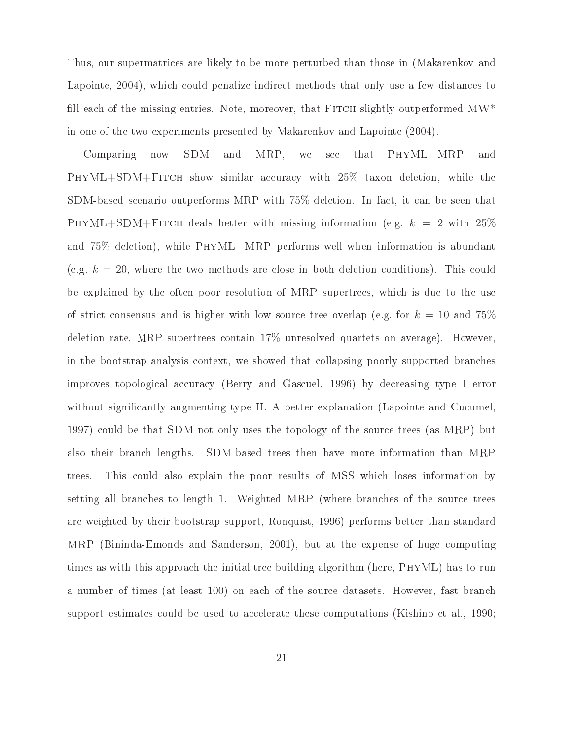Thus, our supermatrices are likely to be more perturbed than those in (Makarenkov and Lapointe, 2004), which could penalize indirect methods that only use a few distances to fill each of the missing entries. Note, moreover, that FITCH slightly outperformed  $MW^*$ in one of the two experiments presented by Makarenkov and Lapointe (2004).

Comparing now SDM and MRP, we see that PhyML+MRP and  $\mathcal{L}_{\text{H}}$  is the fit can construct deletion, with 25% taxon deletion, while the construction, SDM-based scenario outperforms MRP with 75% deletion. In fact, it can be seen that PHYML+SDM+FITCH deals better with missing information (e.g.  $k = 2$  with  $25\%$ and 75% deletion), while PhyML+MRP performs well when information is abundant (e.g.  $k = 20$ , where the two methods are close in both deletion conditions). This could be explained by the often poor resolution of MRP supertrees, which is due to the use of strict consensus and is higher with low source tree overlap (e.g. for  $k = 10$  and 75%) deletion rate, MRP supertrees contain 17% unresolved quartets on average). However, in the bootstrap analysis context, we showed that collapsing poorly supported branches improves topological accuracy (Berry and Gascuel, 1996) by decreasing type I error without significantly augmenting type II. A better explanation (Lapointe and Cucumel, 1997) could be that SDM not only uses the topology of the source trees (as MRP) but also their branch lengths. SDM-based trees then have more information than MRP trees. This could also explain the poor results of MSS which loses information by setting all branches to length 1. Weighted MRP (where branches of the source trees are weighted by their bootstrap support, Ronquist, 1996) performs better than standard MRP (Bininda-Emonds and Sanderson, 2001), but at the expense of huge computing times as with this approach the initial tree building algorithm (here, PhyML) has to run a number of times (at least 100) on each of the source datasets. However, fast branch support estimates could be used to accelerate these computations (Kishino et al., 1990;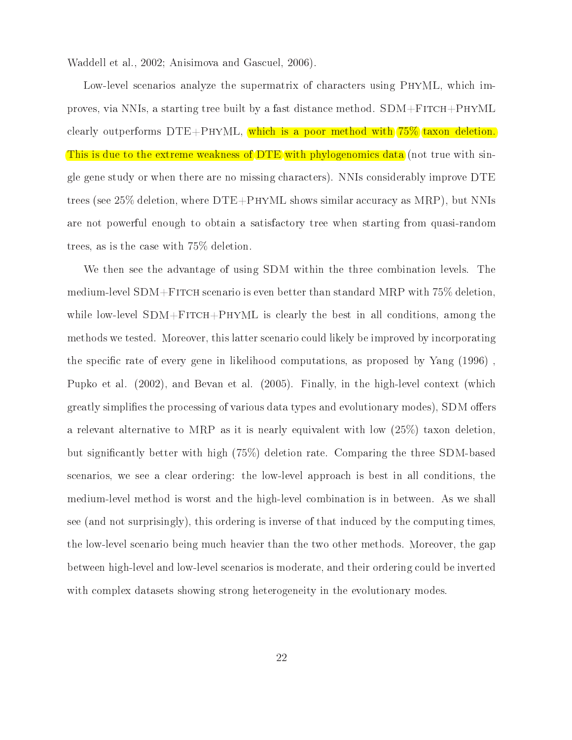Waddell et al., 2002; Anisimova and Gascuel, 2006).

Low-level scenarios analyze the supermatrix of characters using PhyML, which improves, via NNIs, a starting tree built by a fast distance method.  $SDM + FITCH +PHYML$ clearly outperforms  $DTE+PHYML$ , which is a poor method with  $75\%$  taxon deletion. This is due to the extreme weakness of DTE with phylogenomics data (not true with single gene study or when there are no missing characters). NNIs considerably improve DTE trees (see 25% deletion, where DTE+PhyML shows similar accuracy as MRP), but NNIs are not powerful enough to obtain a satisfactory tree when starting from quasi-random  $\frac{1}{2}$  the case with  $\frac{1}{2}$  defined with  $\frac{1}{2}$  defined with  $\frac{1}{2}$ 

We then see the advantage of using SDM within the three combination levels. The medium-level SDM+FITCH scenario is even better than standard MRP with 75% deletion, while low-level  $SDM + FITCH + PHYML$  is clearly the best in all conditions, among the methods we tested. Moreover, this latter scenario could likely be improved by incorporating the specific rate of every gene in likelihood computations, as proposed by Yang  $(1996)$ , Pupko et al. (2002), and Bevan et al. (2005). Finally, in the high-level context (which greatly simplifies the processing of various data types and evolutionary modes), SDM offers a relevant alternative to model as it is nearly equivalent with low  $(25%)$  taxon deletion, but significantly better with  $\mathbf{S}$  (155%) deletion rate. Comparing the three SDM-based space  $\mathbf{S}$ scenarios, we see a clear ordering: the low-level approach is best in all conditions, the medium-level method is worst and the high-level combination is in between. As we shall see (and not surprisingly), this ordering is inverse of that induced by the computing times, the low-level scenario being much heavier than the two other methods. Moreover, the gap between high-level and low-level scenarios is moderate, and their ordering could be inverted with complex datasets showing strong heterogeneity in the evolutionary modes.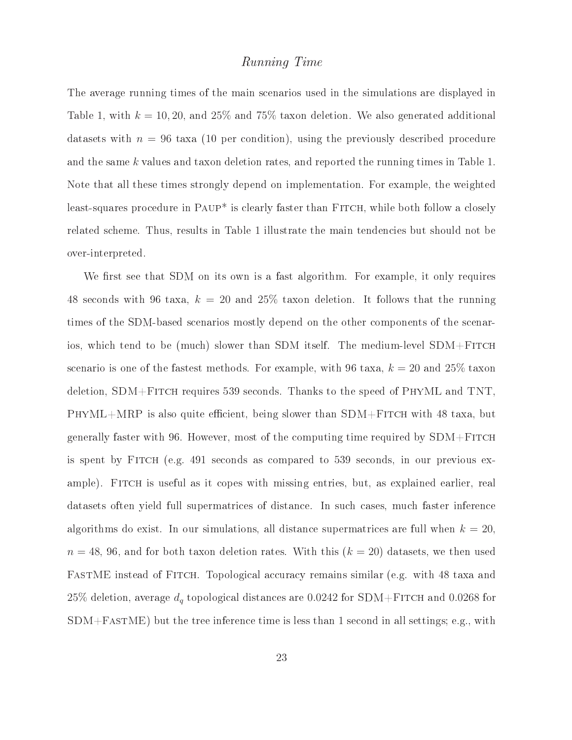#### Running Time

The average running times of the main scenarios used in the simulations are displayed in Table 1, with  $k = 10, 20$ , and  $25\%$  and  $75\%$  taxon deletion. We also generated additional datasets with  $n = 96$  taxa (10 per condition), using the previously described procedure and the same k values and taxon deletion rates, and reported the running times in Table 1. Note that all these times strongly depend on implementation. For example, the weighted least-squares procedure in PAUP<sup>\*</sup> is clearly faster than FITCH, while both follow a closely related scheme. Thus, results in Table 1 illustrate the main tendencies but should not be over-interpreted.

We first see that SDM on its own is a fast algorithm. For example, it only requires 48 seconds with 96 taxa,  $k = 20$  and 25% taxon deletion. It follows that the running times of the SDM-based scenarios mostly depend on the other components of the scenarios, which tend to be (much) slower than SDM itself. The medium-level SDM+Fitch scenario is one of the fastest methods. For example, with 96 taxa,  $k = 20$  and 25% taxon deletion, SDM+Fitch requires 539 seconds. Thanks to the speed of PhyML and TNT,  $PHYML+MRP$  is also quite efficient, being slower than  $SDM+F$ ITCH with 48 taxa, but generally faster with 96. However, most of the computing time required by  $SDM + F$ ITCH is spent by Fitch (e.g. 491 seconds as compared to 539 seconds, in our previous example). FITCH is useful as it copes with missing entries, but, as explained earlier, real datasets often yield full supermatrices of distance. In such cases, much faster inference algorithms do exist. In our simulations, all distance supermatrices are full when  $k = 20$ ,  $n = 48, 96$ , and for both taxon deletion rates. With this  $(k = 20)$  datasets, we then used FASTME instead of FITCH. Topological accuracy remains similar (e.g. with 48 taxa and 25% deletion, average  $d_q$  topological distances are 0.0242 for SDM+FITCH and 0.0268 for  $SDM+FastN$ E) but the tree inference time is less than 1 second in all settings; e.g., with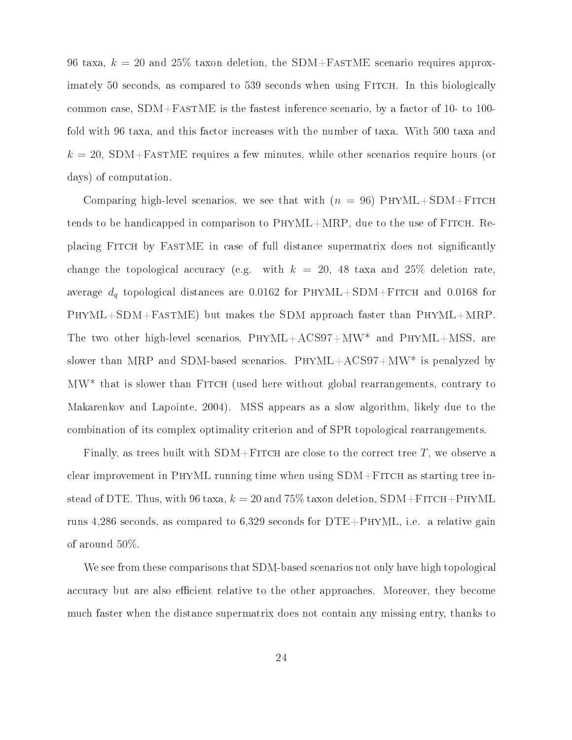96 taxa,  $k = 20$  and 25% taxon deletion, the SDM+FASTME scenario requires approximately 50 seconds, as compared to 539 seconds when using Fitch. In this biologically common case, SDM+FastME is the fastest inference scenario, by a factor of 10- to 100 fold with 96 taxa, and this factor increases with the number of taxa. With 500 taxa and  $k = 20$ , SDM+FASTME requires a few minutes, while other scenarios require hours (or days) of computation.

Comparing high-level scenarios, we see that with  $(n = 96)$  PHYML+SDM+FITCH tends to be handicapped in comparison to PhyML+MRP, due to the use of Fitch. Replacing Fitch by FastME in case of full distance supermatrix does not signicantly change the topological accuracy (e.g. with  $k = 20$ , 48 taxa and 25% deletion rate, average  $d_q$  topological distances are 0.0162 for PHYML+SDM+FITCH and 0.0168 for PhyML+SDM+FastME) but makes the SDM approach faster than PhyML+MRP. The two other high-level scenarios, PhyML+ACS97+MW\* and PhyML+MSS, are slower than MRP and SDM-based scenarios. PhyML+ACS97+MW\* is penalyzed by MW\* that is slower than Fitch (used here without global rearrangements, contrary to Makarenkov and Lapointe, 2004). MSS appears as a slow algorithm, likely due to the combination of its complex optimality criterion and of SPR topological rearrangements.

Finally, as trees built with  $SDM + F$ ITCH are close to the correct tree T, we observe a clear improvement in PHYML running time when using  $SDM + F$ ITCH as starting tree instead of DTE. Thus, with 96 taxa,  $k = 20$  and 75% taxon deletion, SDM+FITCH+PHYML runs 4,286 seconds, as compared to 6,329 seconds for  $DTE+PHYML$ , i.e. a relative gain of around 50%.

We see from these comparisons that SDM-based scenarios not only have high topological accuracy but are also efficient relative to the other approaches. Moreover, they become much faster when the distance supermatrix does not contain any missing entry, thanks to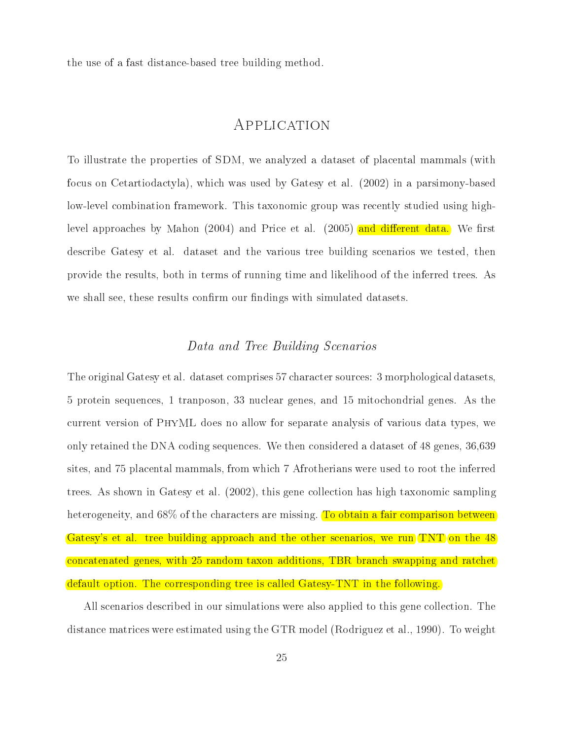the use of a fast distance-based tree building method.

To illustrate the properties of SDM, we analyzed a dataset of placental mammals (with focus on Cetartiodactyla), which was used by Gatesy et al. (2002) in a parsimony-based low-level combination framework. This taxonomic group was recently studied using highlevel approaches by Mahon  $(2004)$  and Price et al.  $(2005)$  and different data. We first describe Gatesy et al. dataset and the various tree building scenarios we tested, then provide the results, both in terms of running time and likelihood of the inferred trees. As we shall see, these results confirm our findings with simulated datasets.

#### Data and Tree Building Scenarios

The original Gatesy et al. dataset comprises 57 character sources: 3 morphological datasets, 5 protein sequences, 1 tranposon, 33 nuclear genes, and 15 mitochondrial genes. As the current version of PhyML does no allow for separate analysis of various data types, we only retained the DNA coding sequences. We then considered a dataset of 48 genes, 36,639 sites, and 75 placental mammals, from which 7 Afrotherians were used to root the inferred trees. As shown in Gatesy et al. (2002), this gene collection has high taxonomic sampling heterogeneity, and 68% of the characters are missing. To obtain a fair comparison between Gatesy's et al. tree building approach and the other scenarios, we run TNT on the 48 concatenated genes, with 25 random taxon additions, TBR branch swapping and ratchet default option. The corresponding tree is called Gatesy-TNT in the following.

All scenarios described in our simulations were also applied to this gene collection. The distance matrices were estimated using the GTR model (Rodriguez et al., 1990). To weight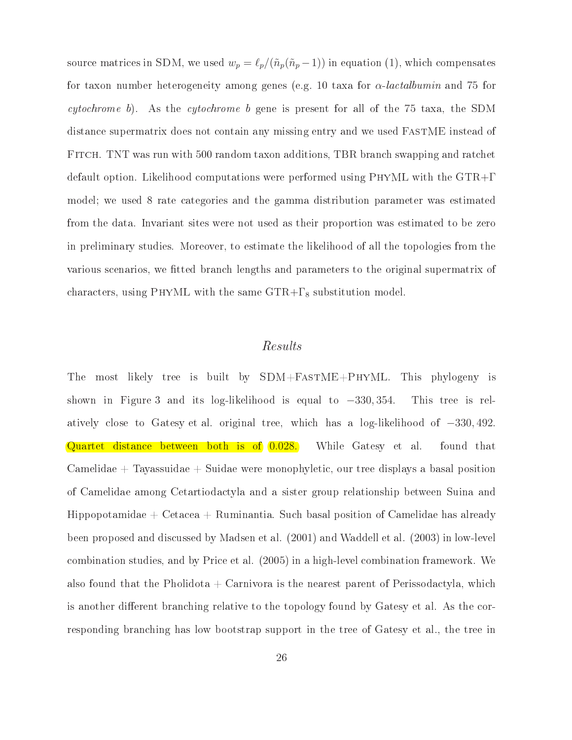source matrices in SDM, we used  $w_p = \ell_p/(\tilde{n}_p(\tilde{n}_p - 1))$  in equation (1), which compensates for taxon number heterogeneity among genes (e.g. 10 taxa for  $\alpha$ -lactalbumin and 75 for cytochrome b). As the cytochrome b gene is present for all of the 75 taxa, the SDM distance supermatrix does not contain any missing entry and we used FastME instead of Fitch. TNT was run with 500 random taxon additions, TBR branch swapping and ratchet default option. Likelihood computations were performed using PhyML with the GTR+Γ model; we used 8 rate categories and the gamma distribution parameter was estimated from the data. Invariant sites were not used as their proportion was estimated to be zero in preliminary studies. Moreover, to estimate the likelihood of all the topologies from the various scenarios, we tted branch lengths and parameters to the original supermatrix of characters, using PHYML with the same  $GTR+\Gamma_8$  substitution model.

#### Results

The most likely tree is built by SDM+FastME+PhyML. This phylogeny is shown in Figure 3 and its log-likelihood is equal to <sup>−</sup>330, 354. This tree is relatively close to Gatesy et al. original tree, which has a log-likelihood of <sup>−</sup>330, <sup>492</sup>. Quartet distance between both is of  $(0.028)$ . While Gatesy et al. found that  $Camelidae + Tayassuidae + Suidae were monophyletic, our tree displays a basal position$ of Camelidae among Cetartiodactyla and a sister group relationship between Suina and Hippopotamidae + Cetacea + Ruminantia. Such basal position of Camelidae has already been proposed and discussed by Madsen et al. (2001) and Waddell et al. (2003) in low-level combination studies, and by Price et al. (2005) in a high-level combination framework. We also found that the Pholidota  $+$  Carnivora is the nearest parent of Perissodactyla, which is another different branching relative to the topology found by Gatesy et al. As the corresponding branching has low bootstrap support in the tree of Gatesy et al., the tree in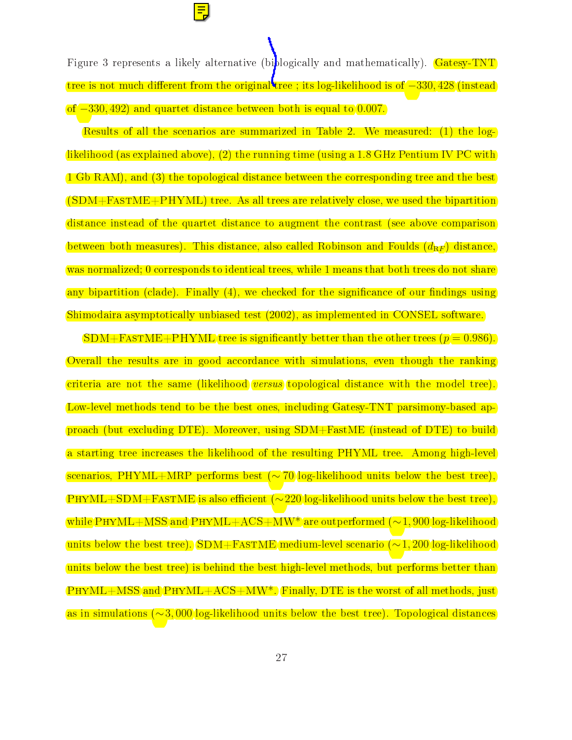Figure 3 represents a likely alternative (biblogically and mathematically). Gatesy-TNT tree is not much different from the original tree ; its log-likelihood is of −330,428 (instead

of −330, 492) and quartet distance between both is equal to 0.007.

Results of all the scenarios are summarized in Table 2. We measured: (1) the loglikelihood (as explained above), (2) the running time (using a 1.8 GHz Pentium IV PC with 1 Gb RAM), and (3) the topological distance between the corresponding tree and the best  $(SDM + FAST M E + PHYML)$  tree. As all trees are relatively close, we used the bipartition distance instead of the quartet distance to augment the contrast (see above comparison between both measures). This distance, also called Robinson and Foulds  $(d_{\mathtt{RF}})$  distance, was normalized; 0 corresponds to identical trees, while 1 means that both trees do not share any bipartition (clade). Finally  $(4)$ , we checked for the significance of our findings using Shimodaira asymptotically unbiased test (2002), as implemented in CONSEL software.

 $SDM+FASTMEF+PHYMLE$  tree is significantly better than the other trees  $(p = 0.986)$ . Overall the results are in good accordance with simulations, even though the ranking criteria are not the same (likelihood versus topological distance with the model tree). Low-level methods tend to be the best ones, including Gatesy-TNT parsimony-based approach (but excluding DTE). Moreover, using SDM+FastME (instead of DTE) to build a starting tree increases the likelihood of the resulting PHYML tree. Among high-level scenarios, PHYML+MRP performs best (∼ 70 log-likelihood units below the best tree), PHYML+SDM+FASTME is also efficient ( $\sim$ 220 log-likelihood units below the best tree), while PHYML+MSS and PHYML+ACS+MW<sup>\*</sup> are outperformed (~1, 900 log-likelihood units below the best tree). SDM+FASTME medium-level scenario (~1, 200 log-likelihood units below the best tree) is behind the best high-level methods, but performs better than  $PHYML+MSS$  and  $PHYML+ACS+MW^*$ . Finally, DTE is the worst of all methods, just as in simulations (∼3, <sup>000</sup> log-likelihood units below the best tree). Topological distances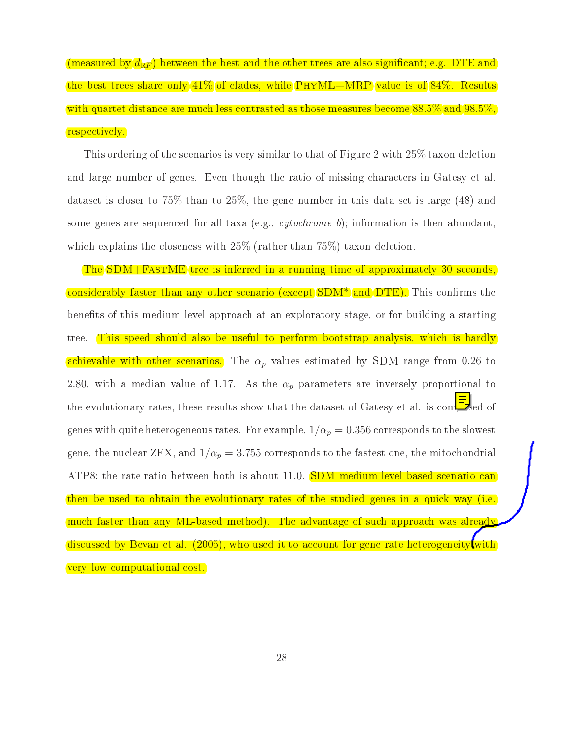(measured by  $d_{\texttt{RF}}$ ) between the best and the other trees are also significant; e.g. DTE and the best trees share only  $41\%$  of clades, while PHYML+MRP value is of  $84\%$ . Results with quartet distance are much less contrasted as those measures become 88.5% and 98.5%. respectively.

This ordering of the scenarios is very similar to that of Figure 2 with 25% taxon deletion and large number of genes. Even though the ratio of missing characters in Gatesy et al. dataset is closer to 75% than to 25%, the gene number in this data set is large (48) and some genes are sequenced for all taxa (e.g., *cytochrome b*); information is then abundant, which explains the closeness with  $25\%$  (rather than 75%) taxon deletion.

The SDM+FastME tree is inferred in a running time of approximately 30 seconds, considerably faster than any other scenario (except SDM<sup>\*</sup> and DTE). This confirms the benefits of this medium-level approach at an exploratory stage, or for building a starting tree. This speed should also be useful to perform bootstrap analysis, which is hardly achievable with other scenarios. The  $\alpha_p$  values estimated by SDM range from 0.26 to 2.80, with a median value of 1.17. As the  $\alpha_p$  parameters are inversely proportional to the evolutionary rates, these results show that the dataset of Gatesy et al. is composed of genes with quite heterogeneous rates. For example,  $1/\alpha_p = 0.356$  corresponds to the slowest gene, the nuclear ZFX, and  $1/\alpha_p = 3.755$  corresponds to the fastest one, the mitochondrial ATP8; the rate ratio between both is about 11.0. SDM medium-level based scenario can then be used to obtain the evolutionary rates of the studied genes in a quick way (i.e. much faster than any ML-based method). The advantage of such approach was already discussed by Bevan et al. (2005), who used it to account for gene rate heterogeneity with very low computational cost.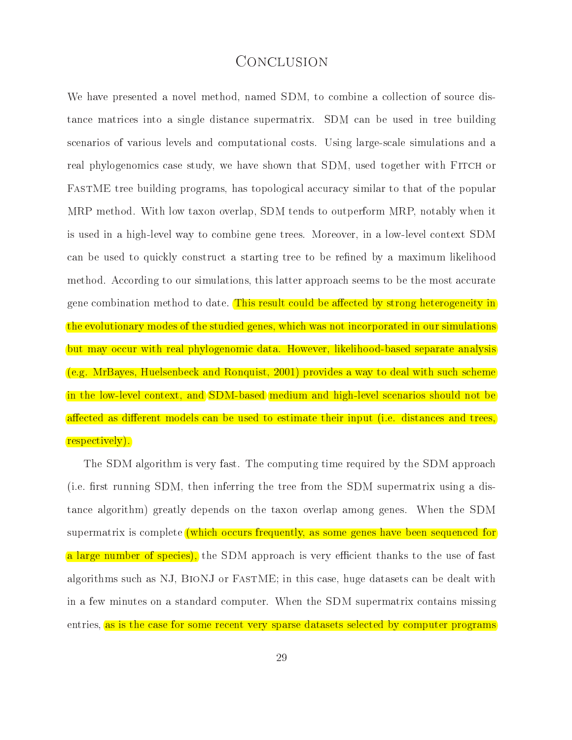## **CONCLUSION**

We have presented a novel method, named SDM, to combine a collection of source distance matrices into a single distance supermatrix. SDM can be used in tree building scenarios of various levels and computational costs. Using large-scale simulations and a real phylogenomics case study, we have shown that SDM, used together with FITCH or FastME tree building programs, has topological accuracy similar to that of the popular MRP method. With low taxon overlap, SDM tends to outperform MRP, notably when it is used in a high-level way to combine gene trees. Moreover, in a low-level context SDM can be used to quickly construct a starting tree to be refined by a maximum likelihood method. According to our simulations, this latter approach seems to be the most accurate gene combination method to date. This result could be affected by strong heterogeneity in the evolutionary modes of the studied genes, which was not incorporated in our simulations but may occur with real phylogenomic data. However, likelihood-based separate analysis (e.g. MrBayes, Huelsenbeck and Ronquist, 2001) provides a way to deal with such scheme in the low-level context, and SDM-based medium and high-level scenarios should not be affected as different models can be used to estimate their input (i.e. distances and trees, respectively).

The SDM algorithm is very fast. The computing time required by the SDM approach (i.e. first running SDM, then inferring the tree from the SDM supermatrix using a distance algorithm) greatly depends on the taxon overlap among genes. When the SDM supermatrix is complete (which occurs frequently, as some genes have been sequenced for a large number of species), the SDM approach is very efficient thanks to the use of fast algorithms such as NJ, BIONJ or FASTME; in this case, huge datasets can be dealt with in a few minutes on a standard computer. When the SDM supermatrix contains missing entries, as is the case for some recent very sparse datasets selected by computer programs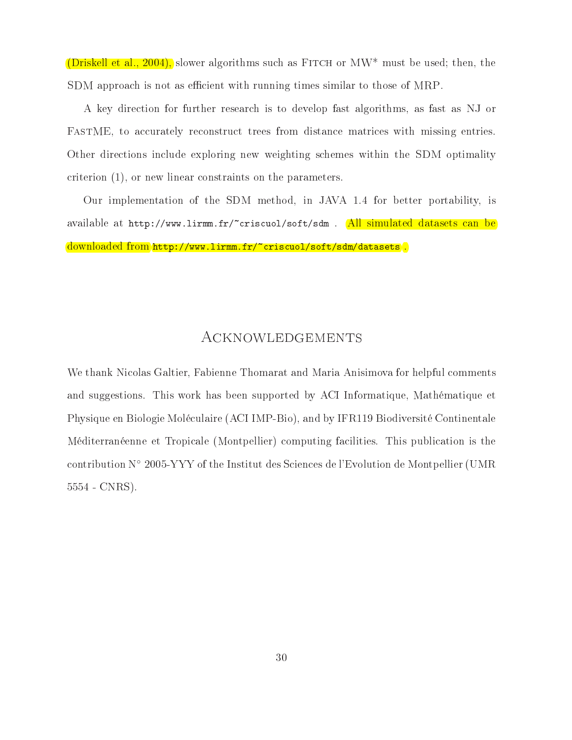(Driskell et al., 2004), slower algorithms such as FITCH or  $MW^*$  must be used; then, the SDM approach is not as efficient with running times similar to those of MRP.

A key direction for further research is to develop fast algorithms, as fast as NJ or FastME, to accurately reconstruct trees from distance matrices with missing entries. Other directions include exploring new weighting schemes within the SDM optimality criterion (1), or new linear constraints on the parameters.

Our implementation of the SDM method, in JAVA 1.4 for better portability, is available at http://www.lirmm.fr/~criscuol/soft/sdm . All simulated datasets can be downloaded from http://www.lirmm.fr/~criscuol/soft/sdm/datasets<mark>.</mark>

## Acknowledgements

We thank Nicolas Galtier, Fabienne Thomarat and Maria Anisimova for helpful comments and suggestions. This work has been supported by ACI Informatique, Mathématique et Physique en Biologie Moléculaire (ACI IMP-Bio), and by IFR119 Biodiversité Continentale Méditerranéenne et Tropicale (Montpellier) computing facilities. This publication is the contribution N◦ 2005-YYY of the Institut des Sciences de l'Evolution de Montpellier (UMR 5554 - CNRS).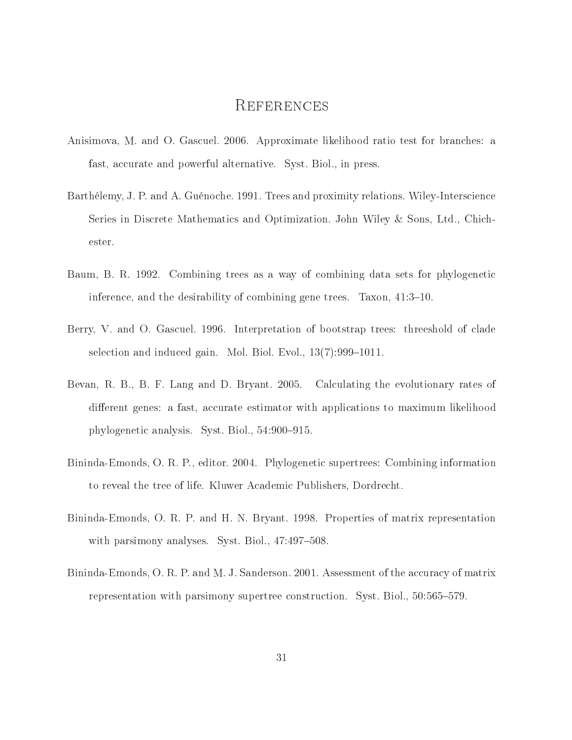## **REFERENCES**

- Anisimova, M. and O. Gascuel. 2006. Approximate likelihood ratio test for branches: a fast, accurate and powerful alternative. Syst. Biol., in press.
- Barthélemy, J. P. and A. Guénoche. 1991. Trees and proximity relations. Wiley-Interscience Series in Discrete Mathematics and Optimization. John Wiley & Sons, Ltd., Chichester.
- Baum, B. R. 1992. Combining trees as a way of combining data sets for phylogenetic inference, and the desirability of combining gene trees. Taxon,  $41:3-10$ .
- Berry, V. and O. Gascuel. 1996. Interpretation of bootstrap trees: threeshold of clade selection and induced gain. Mol. Biol. Evol.,  $13(7)$ :999-1011.
- Bevan, R. B., B. F. Lang and D. Bryant. 2005. Calculating the evolutionary rates of different genes: a fast, accurate estimator with applications to maximum likelihood phylogenetic analysis. Syst. Biol., 54:900-915.
- Bininda-Emonds, O. R. P., editor. 2004. Phylogenetic supertrees: Combining information to reveal the tree of life. Kluwer Academic Publishers, Dordrecht.
- Bininda-Emonds, O. R. P. and H. N. Bryant. 1998. Properties of matrix representation with parsimony analyses. Syst. Biol.,  $47:497-508$ .
- Bininda-Emonds, O. R. P. and M. J. Sanderson. 2001. Assessment of the accuracy of matrix representation with parsimony supertree construction. Syst. Biol., 50:565–579.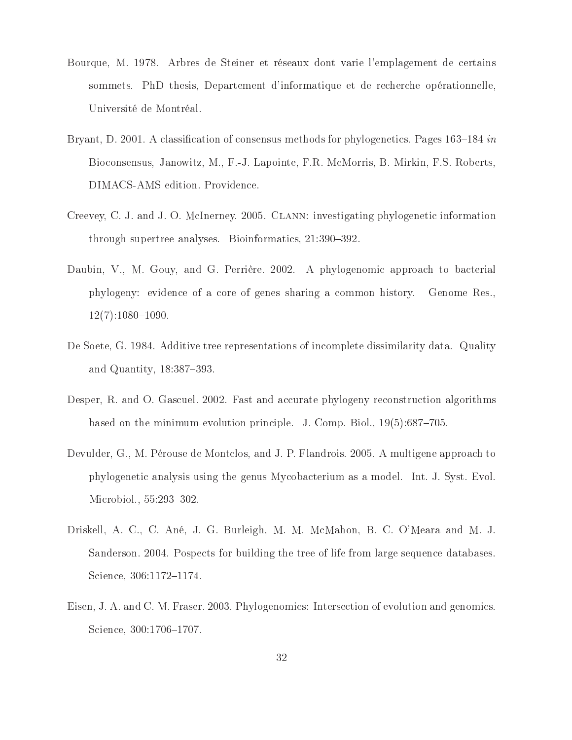- Bourque, M. 1978. Arbres de Steiner et réseaux dont varie l'emplagement de certains sommets. PhD thesis, Departement d'informatique et de recherche opérationnelle, Université de Montréal.
- Bryant, D. 2001. A classification of consensus methods for phylogenetics. Pages  $163-184$  in Bioconsensus, Janowitz, M., F.-J. Lapointe, F.R. McMorris, B. Mirkin, F.S. Roberts, DIMACS-AMS edition. Providence.
- Creevey, C. J. and J. O. McInerney. 2005. Clann: investigating phylogenetic information through supertree analyses. Bioinformatics,  $21:390-392$ .
- Daubin, V., M. Gouy, and G. Perrière. 2002. A phylogenomic approach to bacterial phylogeny: evidence of a core of genes sharing a common history. Genome Res.,  $12(7):1080-1090.$
- De Soete, G. 1984. Additive tree representations of incomplete dissimilarity data. Quality and Quantity,  $18:387-393$ .
- Desper, R. and O. Gascuel. 2002. Fast and accurate phylogeny reconstruction algorithms based on the minimum-evolution principle. J. Comp. Biol.,  $19(5):687-705$ .
- Devulder, G., M. Pérouse de Montclos, and J. P. Flandrois. 2005. A multigene approach to phylogenetic analysis using the genus Mycobacterium as a model. Int. J. Syst. Evol. Microbiol., 55:293-302.
- Driskell, A. C., C. Ané, J. G. Burleigh, M. M. McMahon, B. C. O'Meara and M. J. Sanderson. 2004. Pospects for building the tree of life from large sequence databases. Science, 306:1172-1174.
- Eisen, J. A. and C. M. Fraser. 2003. Phylogenomics: Intersection of evolution and genomics. Science, 300:1706-1707.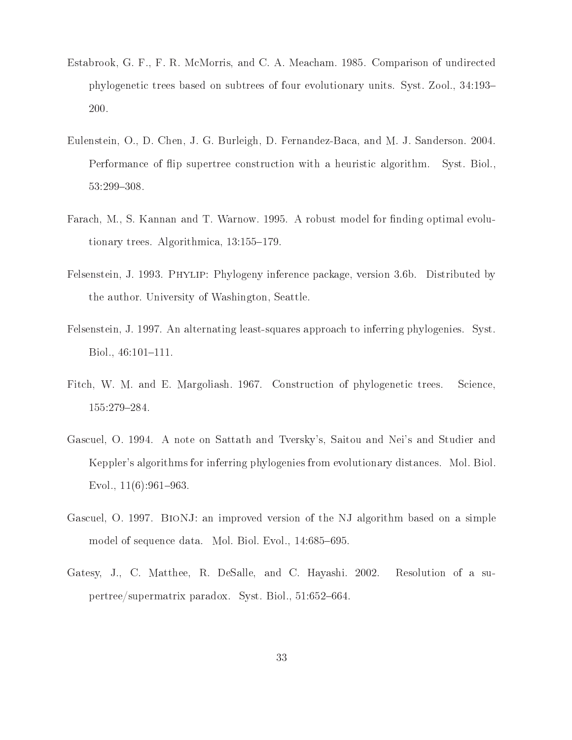- Estabrook, G. F., F. R. McMorris, and C. A. Meacham. 1985. Comparison of undirected phylogenetic trees based on subtrees of four evolutionary units. Syst. Zool., 34:193 200.
- Eulenstein, O., D. Chen, J. G. Burleigh, D. Fernandez-Baca, and M. J. Sanderson. 2004. Performance of flip supertree construction with a heuristic algorithm. Syst. Biol., 53:299-308.
- Farach, M., S. Kannan and T. Warnow. 1995. A robust model for finding optimal evolutionary trees. Algorithmica,  $13:155-179$ .
- Felsenstein, J. 1993. Phylip: Phylogeny inference package, version 3.6b. Distributed by the author. University of Washington, Seattle.
- Felsenstein, J. 1997. An alternating least-squares approach to inferring phylogenies. Syst. Biol.,  $46:101-111$ .
- Fitch, W. M. and E. Margoliash. 1967. Construction of phylogenetic trees. Science, 155:279-284.
- Gascuel, O. 1994. A note on Sattath and Tversky's, Saitou and Nei's and Studier and Keppler's algorithms for inferring phylogenies from evolutionary distances. Mol. Biol. Evol.,  $11(6):961-963$ .
- Gascuel, O. 1997. BioNJ: an improved version of the NJ algorithm based on a simple model of sequence data. Mol. Biol. Evol., 14:685-695.
- Gatesy, J., C. Matthee, R. DeSalle, and C. Hayashi. 2002. Resolution of a supertree/supermatrix paradox. Syst. Biol., 51:652-664.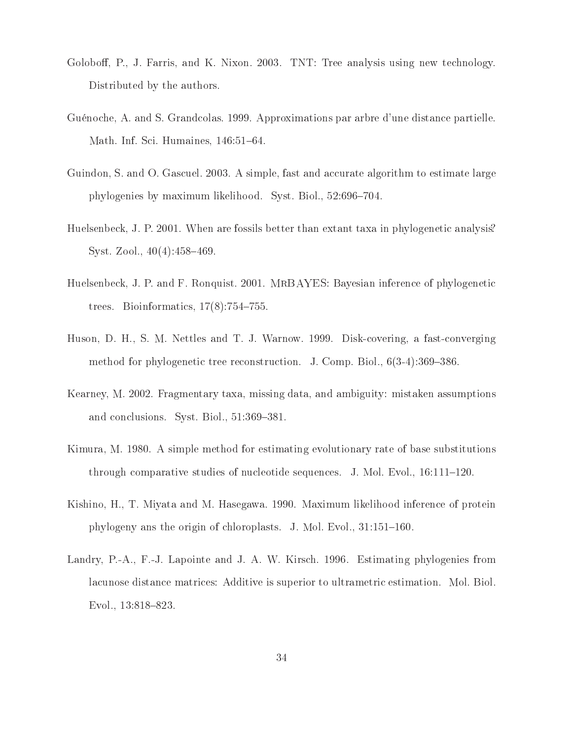- Goloboff, P., J. Farris, and K. Nixon. 2003. TNT: Tree analysis using new technology. Distributed by the authors.
- Guénoche, A. and S. Grandcolas. 1999. Approximations par arbre d'une distance partielle. Math. Inf. Sci. Humaines, 146:51-64.
- Guindon, S. and O. Gascuel. 2003. A simple, fast and accurate algorithm to estimate large phylogenies by maximum likelihood. Syst. Biol., 52:696–704.
- Huelsenbeck, J. P. 2001. When are fossils better than extant taxa in phylogenetic analysis? Syst. Zool.,  $40(4):458-469$ .
- Huelsenbeck, J. P. and F. Ronquist. 2001. MrBAYES: Bayesian inference of phylogenetic trees. Bioinformatics,  $17(8)$ : 754–755.
- Huson, D. H., S. M. Nettles and T. J. Warnow. 1999. Disk-covering, a fast-converging method for phylogenetic tree reconstruction. J. Comp. Biol.,  $6(3-4):369-386$ .
- Kearney, M. 2002. Fragmentary taxa, missing data, and ambiguity: mistaken assumptions and conclusions. Syst. Biol., 51:369-381.
- Kimura, M. 1980. A simple method for estimating evolutionary rate of base substitutions through comparative studies of nucleotide sequences. J. Mol. Evol.,  $16:111-120$ .
- Kishino, H., T. Miyata and M. Hasegawa. 1990. Maximum likelihood inference of protein phylogeny ans the origin of chloroplasts. J. Mol. Evol.,  $31:151-160$ .
- Landry, P.-A., F.-J. Lapointe and J. A. W. Kirsch. 1996. Estimating phylogenies from lacunose distance matrices: Additive is superior to ultrametric estimation. Mol. Biol. Evol.,  $13:818-823$ .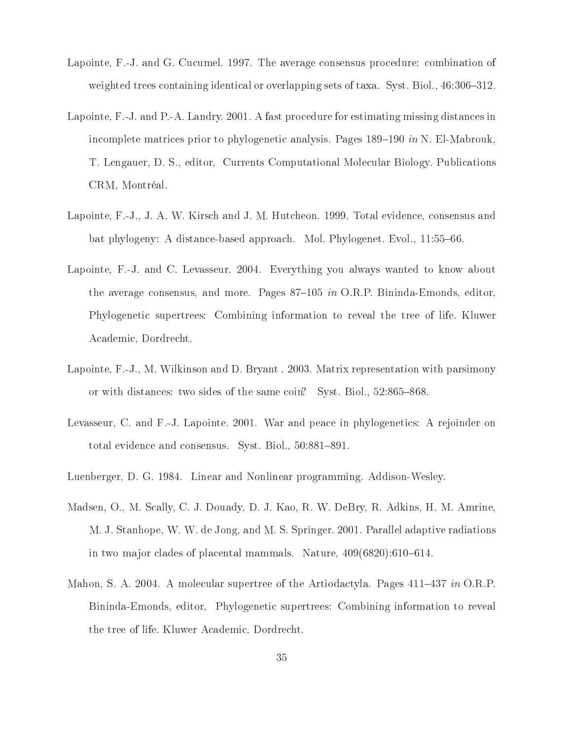- Lapointe, F.-J. and G. Cucumel. 1997. The average consensus procedure: combination of weighted trees containing identical or overlapping sets of taxa. Syst. Biol., 46:306-312.
- Lapointe, F.-J. and P.-A. Landry. 2001. A fast procedure for estimating missing distances in incomplete matrices prior to phylogenetic analysis. Pages  $189-190$  in N. El-Mabrouk, T. Lengauer, D. S., editor, Currents Computational Molecular Biology. Publications CRM, Montréal.
- Lapointe, F.-J., J. A. W. Kirsch and J. M. Hutcheon. 1999. Total evidence, consensus and bat phylogeny: A distance-based approach. Mol. Phylogenet. Evol., 11:55–66.
- Lapointe, F.-J. and C. Levasseur. 2004. Everything you always wanted to know about the average consensus, and more. Pages  $87-105$  in O.R.P. Bininda-Emonds, editor, Phylogenetic supertrees: Combining information to reveal the tree of life. Kluwer Academic, Dordrecht.
- Lapointe, F.-J., M. Wilkinson and D. Bryant . 2003. Matrix representation with parsimony or with distances: two sides of the same coin? Syst. Biol.,  $52:865-868$ .
- Levasseur, C. and F.-J. Lapointe. 2001. War and peace in phylogenetics: A rejoinder on total evidence and consensus. Syst. Biol., 50:881-891.
- Luenberger, D. G. 1984. Linear and Nonlinear programming. Addison-Wesley.
- Madsen, O., M. Scally, C. J. Douady, D. J. Kao, R. W. DeBry, R. Adkins, H. M. Amrine, M. J. Stanhope, W. W. de Jong, and M. S. Springer. 2001. Parallel adaptive radiations in two major clades of placental mammals. Nature,  $409(6820):610-614$ .
- Mahon, S. A. 2004. A molecular supertree of the Artiodactyla. Pages 411-437 in O.R.P. Bininda-Emonds, editor, Phylogenetic supertrees: Combining information to reveal the tree of life. Kluwer Academic, Dordrecht.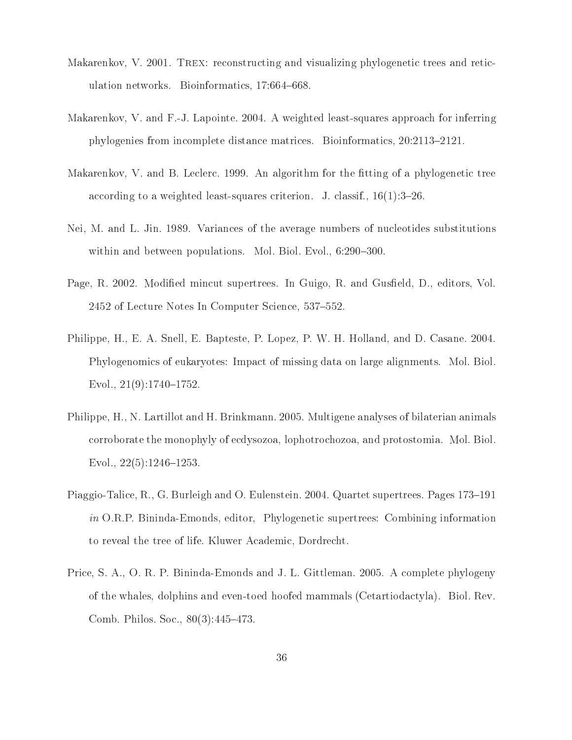- Makarenkov, V. 2001. TREX: reconstructing and visualizing phylogenetic trees and reticulation networks. Bioinformatics, 17:664-668.
- Makarenkov, V. and F.-J. Lapointe. 2004. A weighted least-squares approach for inferring phylogenies from incomplete distance matrices. Bioinformatics,  $20:2113-2121$ .
- Makarenkov, V. and B. Leclerc. 1999. An algorithm for the fitting of a phylogenetic tree according to a weighted least-squares criterion. J. classif.,  $16(1):3-26$ .
- Nei, M. and L. Jin. 1989. Variances of the average numbers of nucleotides substitutions within and between populations. Mol. Biol. Evol., 6:290-300.
- Page, R. 2002. Modified mincut supertrees. In Guigo, R. and Gusfield, D., editors, Vol. 2452 of Lecture Notes In Computer Science, 537–552.
- Philippe, H., E. A. Snell, E. Bapteste, P. Lopez, P. W. H. Holland, and D. Casane. 2004. Phylogenomics of eukaryotes: Impact of missing data on large alignments. Mol. Biol. Evol.,  $21(9):1740-1752$ .
- Philippe, H., N. Lartillot and H. Brinkmann. 2005. Multigene analyses of bilaterian animals corroborate the monophyly of ecdysozoa, lophotrochozoa, and protostomia. Mol. Biol. Evol.,  $22(5):1246-1253$ .
- Piaggio-Talice, R., G. Burleigh and O. Eulenstein. 2004. Quartet supertrees. Pages 173–191 in O.R.P. Bininda-Emonds, editor, Phylogenetic supertrees: Combining information to reveal the tree of life. Kluwer Academic, Dordrecht.
- Price, S. A., O. R. P. Bininda-Emonds and J. L. Gittleman. 2005. A complete phylogeny of the whales, dolphins and even-toed hoofed mammals (Cetartiodactyla). Biol. Rev. Comb. Philos. Soc.,  $80(3):445-473$ .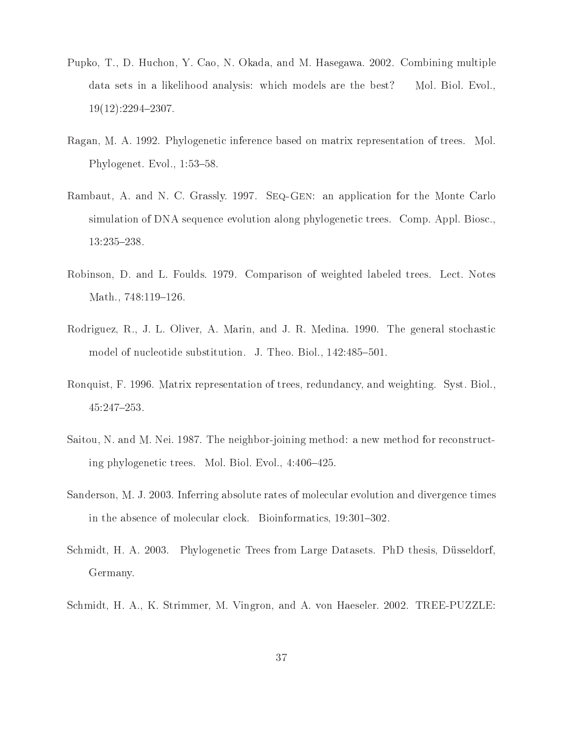- Pupko, T., D. Huchon, Y. Cao, N. Okada, and M. Hasegawa. 2002. Combining multiple data sets in a likelihood analysis: which models are the best? Mol. Biol. Evol.,  $19(12):2294-2307.$
- Ragan, M. A. 1992. Phylogenetic inference based on matrix representation of trees. Mol. Phylogenet. Evol., 1:53-58.
- Rambaut, A. and N. C. Grassly. 1997. Seq-Gen: an application for the Monte Carlo simulation of DNA sequence evolution along phylogenetic trees. Comp. Appl. Biosc., 13:235-238.
- Robinson, D. and L. Foulds. 1979. Comparison of weighted labeled trees. Lect. Notes Math., 748:119-126.
- Rodriguez, R., J. L. Oliver, A. Marin, and J. R. Medina. 1990. The general stochastic model of nucleotide substitution. J. Theo. Biol., 142:485-501.
- Ronquist, F. 1996. Matrix representation of trees, redundancy, and weighting. Syst. Biol., 45:247253.
- Saitou, N. and M. Nei. 1987. The neighbor-joining method: a new method for reconstructing phylogenetic trees. Mol. Biol. Evol.,  $4:406-425$ .
- Sanderson, M. J. 2003. Inferring absolute rates of molecular evolution and divergence times in the absence of molecular clock. Bioinformatics, 19:301-302.
- Schmidt, H. A. 2003. Phylogenetic Trees from Large Datasets. PhD thesis, Düsseldorf, Germany.
- Schmidt, H. A., K. Strimmer, M. Vingron, and A. von Haeseler. 2002. TREE-PUZZLE: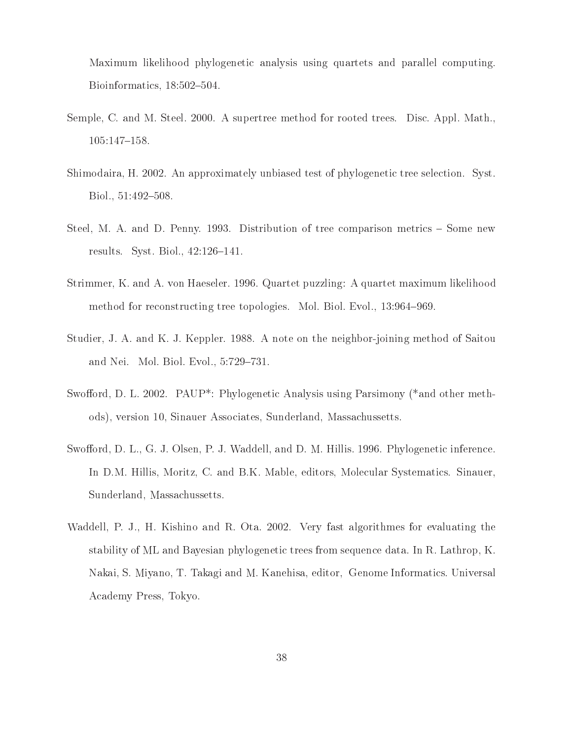Maximum likelihood phylogenetic analysis using quartets and parallel computing. Bioinformatics,  $18:502-504$ .

- Semple, C. and M. Steel. 2000. A supertree method for rooted trees. Disc. Appl. Math., 105:147-158.
- Shimodaira, H. 2002. An approximately unbiased test of phylogenetic tree selection. Syst. Biol., 51:492-508.
- Steel, M. A. and D. Penny. 1993. Distribution of tree comparison metrics Some new results. Syst. Biol.,  $42:126-141$ .
- Strimmer, K. and A. von Haeseler. 1996. Quartet puzzling: A quartet maximum likelihood method for reconstructing tree topologies. Mol. Biol. Evol., 13:964–969.
- Studier, J. A. and K. J. Keppler. 1988. A note on the neighbor-joining method of Saitou and Nei. Mol. Biol. Evol., 5:729–731.
- Swofford, D. L. 2002. PAUP<sup>\*</sup>: Phylogenetic Analysis using Parsimony (\*and other methods), version 10, Sinauer Associates, Sunderland, Massachussetts.
- Swofford, D. L., G. J. Olsen, P. J. Waddell, and D. M. Hillis. 1996. Phylogenetic inference. In D.M. Hillis, Moritz, C. and B.K. Mable, editors, Molecular Systematics. Sinauer, Sunderland, Massachussetts.
- Waddell, P. J., H. Kishino and R. Ota. 2002. Very fast algorithmes for evaluating the stability of ML and Bayesian phylogenetic trees from sequence data. In R. Lathrop, K. Nakai, S. Miyano, T. Takagi and M. Kanehisa, editor, Genome Informatics. Universal Academy Press, Tokyo.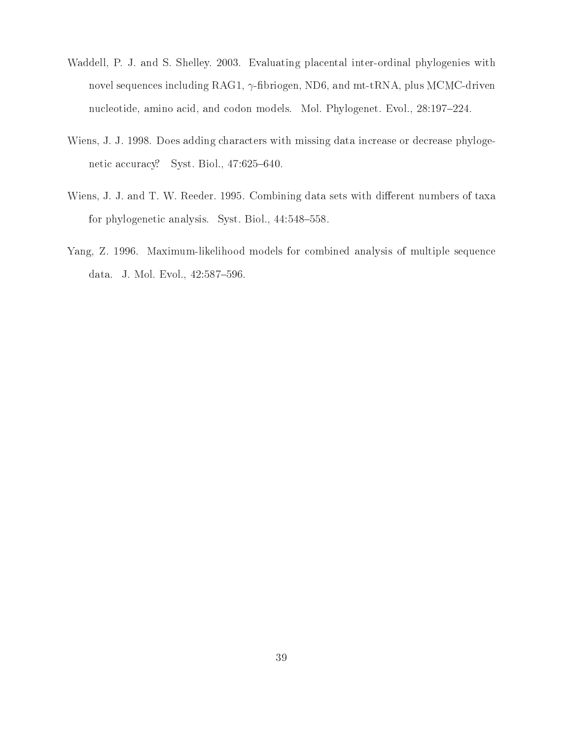- Waddell, P. J. and S. Shelley. 2003. Evaluating placental inter-ordinal phylogenies with novel sequences including RAG1,  $\gamma$ -fibriogen, ND6, and mt-tRNA, plus MCMC-driven nucleotide, amino acid, and codon models. Mol. Phylogenet. Evol., 28:197-224.
- Wiens, J. J. 1998. Does adding characters with missing data increase or decrease phylogenetic accuracy? Syst. Biol., 47:625-640.
- Wiens, J. J. and T. W. Reeder. 1995. Combining data sets with different numbers of taxa for phylogenetic analysis. Syst. Biol.,  $44:548-558$ .
- Yang, Z. 1996. Maximum-likelihood models for combined analysis of multiple sequence data. J. Mol. Evol., 42:587-596.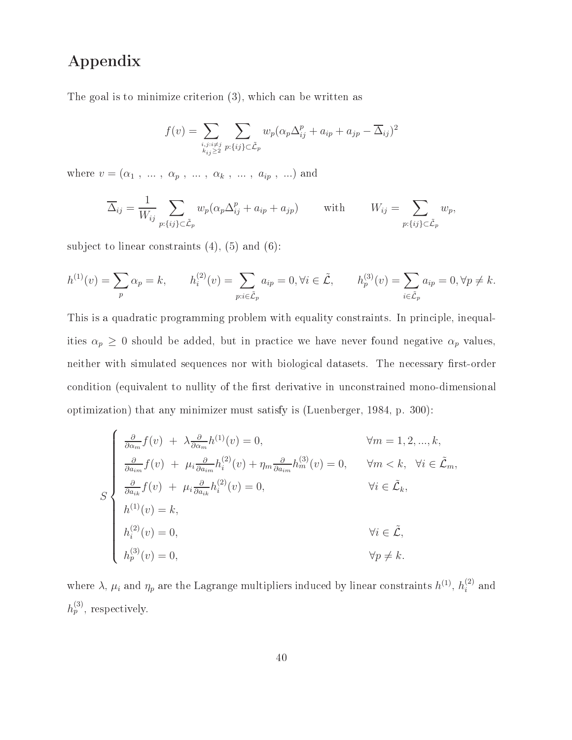## Appendix

The goal is to minimize criterion (3), which can be written as

$$
f(v) = \sum_{\substack{i,j:i \neq j \\ k_{ij} \geq 2}} \sum_{p:\{ij\} \subset \tilde{\mathcal{L}}_p} w_p(\alpha_p \Delta_{ij}^p + a_{ip} + a_{jp} - \overline{\Delta}_{ij})^2
$$

where  $v = (\alpha_1, \ldots, \alpha_p, \ldots, \alpha_k, \ldots, a_{ip}, \ldots)$  and

$$
\overline{\Delta}_{ij} = \frac{1}{W_{ij}} \sum_{p:\{ij\} \subset \tilde{\mathcal{L}}_p} w_p(\alpha_p \Delta_{ij}^p + a_{ip} + a_{jp}) \quad \text{with} \quad W_{ij} = \sum_{p:\{ij\} \subset \tilde{\mathcal{L}}_p} w_p,
$$

subject to linear constraints  $(4)$ ,  $(5)$  and  $(6)$ :

$$
h^{(1)}(v) = \sum_{p} \alpha_p = k, \qquad h^{(2)}(v) = \sum_{p:i \in \tilde{\mathcal{L}}_p} a_{ip} = 0, \forall i \in \tilde{\mathcal{L}}, \qquad h^{(3)}_p(v) = \sum_{i \in \tilde{\mathcal{L}}_p} a_{ip} = 0, \forall p \neq k.
$$

This is a quadratic programming problem with equality constraints. In principle, inequalities  $\alpha_p \geq 0$  should be added, but in practice we have never found negative  $\alpha_p$  values, neither with simulated sequences nor with biological datasets. The necessary first-order condition (equivalent to nullity of the first derivative in unconstrained mono-dimensional optimization) that any minimizer must satisfy is (Luenberger, 1984, p. 300):

$$
S\begin{cases}\n\frac{\partial}{\partial \alpha_m} f(v) + \lambda \frac{\partial}{\partial \alpha_m} h^{(1)}(v) = 0, & \forall m = 1, 2, ..., k, \\
\frac{\partial}{\partial a_{im}} f(v) + \mu_i \frac{\partial}{\partial a_{im}} h_i^{(2)}(v) + \eta_m \frac{\partial}{\partial a_{im}} h_m^{(3)}(v) = 0, & \forall m < k, \forall i \in \tilde{\mathcal{L}}_m, \\
\frac{\partial}{\partial a_{ik}} f(v) + \mu_i \frac{\partial}{\partial a_{ik}} h_i^{(2)}(v) = 0, & \forall i \in \tilde{\mathcal{L}}_k, \\
h_1^{(1)}(v) = k, & \forall i \in \tilde{\mathcal{L}}, \\
h_p^{(3)}(v) = 0, & \forall p \neq k.\n\end{cases}
$$

where  $\lambda$ ,  $\mu_i$  and  $\eta_p$  are the Lagrange multipliers induced by linear constraints  $h^{(1)}$ ,  $h^{(2)}_i$  and  $h_p^{(3)}$ , respectively.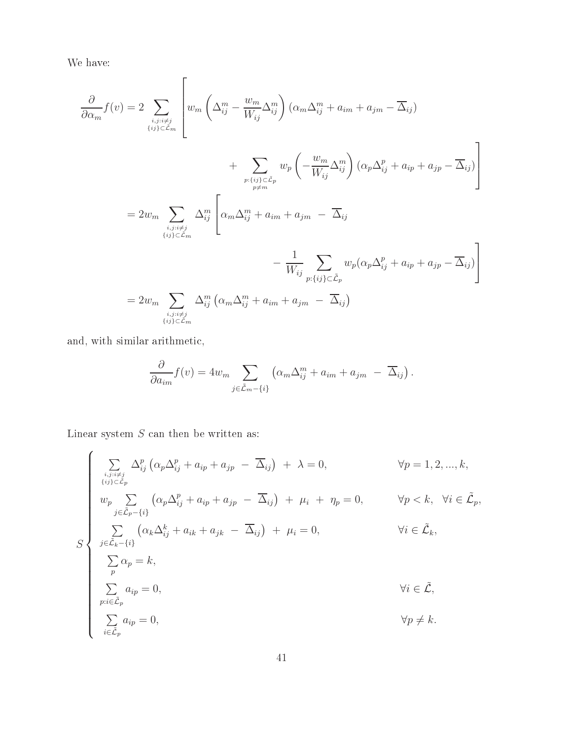We have:

$$
\frac{\partial}{\partial \alpha_m} f(v) = 2 \sum_{\substack{i,j:i \neq j \\ (ij) \in \mathcal{L}_m}} \left[ w_m \left( \Delta_{ij}^m - \frac{w_m}{W_{ij}} \Delta_{ij}^m \right) (\alpha_m \Delta_{ij}^m + a_{im} + a_{jm} - \overline{\Delta}_{ij}) + \sum_{\substack{p:(ij) \in \mathcal{L}_p \\ p \neq m}} w_p \left( -\frac{w_m}{W_{ij}} \Delta_{ij}^m \right) (\alpha_p \Delta_{ij}^p + a_{ip} + a_{jp} - \overline{\Delta}_{ij}) \right]
$$

$$
= 2w_m \sum_{\substack{i,j:i \neq j \\ (ij) \in \mathcal{L}_m}} \Delta_{ij}^m \left[ \alpha_m \Delta_{ij}^m + a_{im} + a_{jm} - \overline{\Delta}_{ij} - \frac{1}{W_{ij}} \sum_{\substack{p:(ij) \in \mathcal{L}_p \\ p:\{ij\} \in \mathcal{L}_p}} w_p (\alpha_p \Delta_{ij}^p + a_{ip} + a_{jp} - \overline{\Delta}_{ij}) \right]
$$

$$
= 2w_m \sum_{\substack{i,j:i \neq j \\ (ij) \in \mathcal{L}_m}} \Delta_{ij}^m (\alpha_m \Delta_{ij}^m + a_{im} + a_{jm} - \overline{\Delta}_{ij})
$$

and, with similar arithmetic,

$$
\frac{\partial}{\partial a_{im}} f(v) = 4w_m \sum_{j \in \tilde{\mathcal{L}}_m - \{i\}} \left( \alpha_m \Delta_{ij}^m + a_{im} + a_{jm} - \overline{\Delta}_{ij} \right).
$$

Linear system  $S$  can then be written as:

$$
\begin{cases}\n\sum_{\substack{i,j:i\neq j \\ (ij)\in\mathcal{L}_p}} \Delta_{ij}^p \left( \alpha_p \Delta_{ij}^p + a_{ip} + a_{jp} - \overline{\Delta}_{ij} \right) + \lambda = 0, & \forall p = 1, 2, ..., k, \\
\sum_{\substack{i,j\in\mathcal{L}_p \\ j\in\mathcal{L}_p - \{i\}}} \left( \alpha_p \Delta_{ij}^p + a_{ip} + a_{jp} - \overline{\Delta}_{ij} \right) + \mu_i + \eta_p = 0, & \forall p < k, \forall i \in \mathcal{L}_p, \\
\sum_{\substack{j\in\mathcal{L}_k - \{i\}}} \left( \alpha_k \Delta_{ij}^k + a_{ik} + a_{jk} - \overline{\Delta}_{ij} \right) + \mu_i = 0, & \forall i \in \mathcal{L}_k, \\
\sum_p \alpha_p = k, & \\
\sum_{p:i\in\mathcal{L}_p} a_{ip} = 0, & \forall i \in \mathcal{L}, \\
\sum_{i\in\mathcal{L}_p} a_{ip} = 0, & \forall p \neq k.\n\end{cases}
$$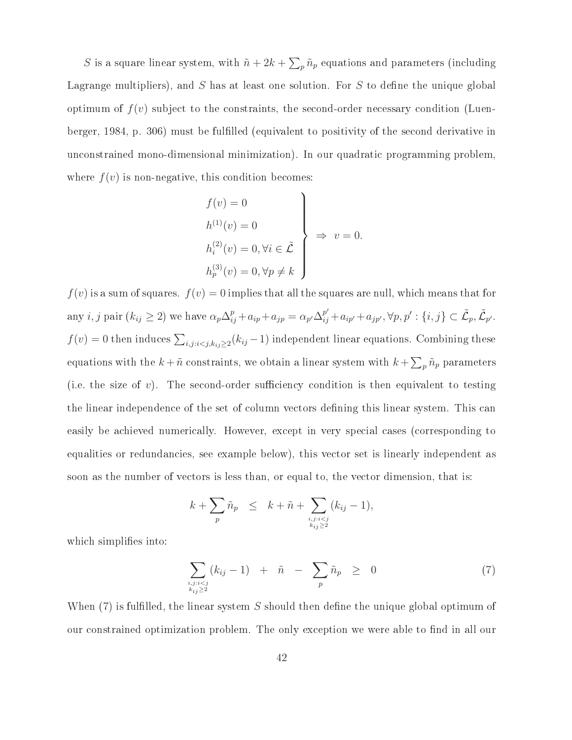S is a square linear system, with  $\tilde{n} + 2k + \sum_{p} \tilde{n}_p$  equations and parameters (including Lagrange multipliers), and S has at least one solution. For S to define the unique global optimum of  $f(v)$  subject to the constraints, the second-order necessary condition (Luenberger, 1984, p. 306) must be fullled (equivalent to positivity of the second derivative in unconstrained mono-dimensional minimization). In our quadratic programming problem, where  $f(v)$  is non-negative, this condition becomes:

$$
f(v) = 0
$$
  
\n
$$
h^{(1)}(v) = 0
$$
  
\n
$$
h^{(2)}_i(v) = 0, \forall i \in \tilde{\mathcal{L}}
$$
  
\n
$$
h^{(3)}_p(v) = 0, \forall p \neq k
$$
  
\n
$$
\downarrow
$$
  
\n
$$
h^{(3)}_p(v) = 0, \forall p \neq k
$$

 $f(v)$  is a sum of squares.  $f(v)=0$  implies that all the squares are null, which means that for any *i*, *j* pair  $(k_{ij} \ge 2)$  we have  $\alpha_p \Delta_{ij}^p + a_{ip} + a_{jp} = \alpha_{p'} \Delta_{ij}^{p'} + a_{ip'} + a_{jp'}, \forall p, p' : \{i, j\} \subset \tilde{L}_p, \tilde{L}_{p'}.$  $f(v) = 0$  then induces  $\sum_{i,j:i < j,k_{ij} \geq 2}(k_{ij} - 1)$  independent linear equations. Combining these equations with the  $k + \tilde{n}$  constraints, we obtain a linear system with  $k + \sum_{p} \tilde{n}_p$  parameters (i.e. the size of  $v$ ). The second-order sufficiency condition is then equivalent to testing the linear independence of the set of column vectors dening this linear system. This can easily be achieved numerically. However, except in very special cases (corresponding to equalities or redundancies, see example below), this vector set is linearly independent as soon as the number of vectors is less than, or equal to, the vector dimension, that is:

$$
k+\sum_{p}\tilde{n}_p \leq k+\tilde{n}+\sum_{i,j:i
$$

which simplifies into:

$$
\sum_{\substack{i,j:i
$$

When  $(7)$  is fulfilled, the linear system S should then define the unique global optimum of our constrained optimization problem. The only exception we were able to find in all our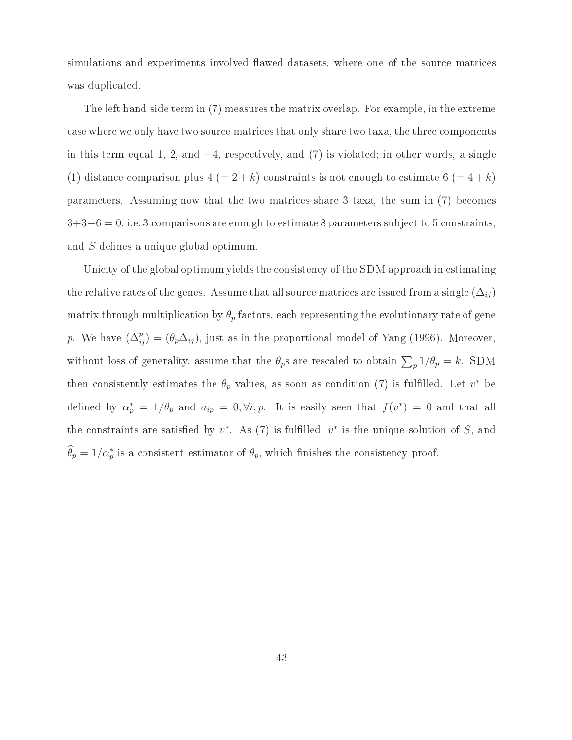simulations and experiments involved flawed datasets, where one of the source matrices was duplicated.

The left hand-side term in (7) measures the matrix overlap. For example, in the extreme case where we only have two source matrices that only share two taxa, the three components in this term equal 1, 2, and <sup>−</sup>4, respectively, and (7) is violated; in other words, a single (1) distance comparison plus  $4 (=2+k)$  constraints is not enough to estimate  $6 (=4+k)$ parameters. Assuming now that the two matrices share 3 taxa, the sum in (7) becomes  $3+3-6=0$ , i.e. 3 comparisons are enough to estimate 8 parameters subject to 5 constraints, and S defines a unique global optimum.

Unicity of the global optimum yields the consistency of the SDM approach in estimating the relative rates of the genes. Assume that all source matrices are issued from a single  $(\Delta_{ij})$ matrix through multiplication by  $\theta_p$  factors, each representing the evolutionary rate of gene p. We have  $(\Delta_{ij}^p) = (\theta_p \Delta_{ij})$ , just as in the proportional model of Yang (1996). Moreover, without loss of generality, assume that the  $\theta_p$ s are rescaled to obtain  $\sum_p 1/\theta_p = k$ . SDM then consistently estimates the  $\theta_p$  values, as soon as condition (7) is fulfilled. Let  $v^*$  be defined by  $\alpha_p^* = 1/\theta_p$  and  $a_{ip} = 0, \forall i, p$ . It is easily seen that  $f(v^*) = 0$  and that all the constraints are satisfied by  $v^*$ . As (7) is fulfilled,  $v^*$  is the unique solution of S, and  $\widehat{\theta}_p = 1/\alpha_p^*$  is a consistent estimator of  $\theta_p$ , which finishes the consistency proof.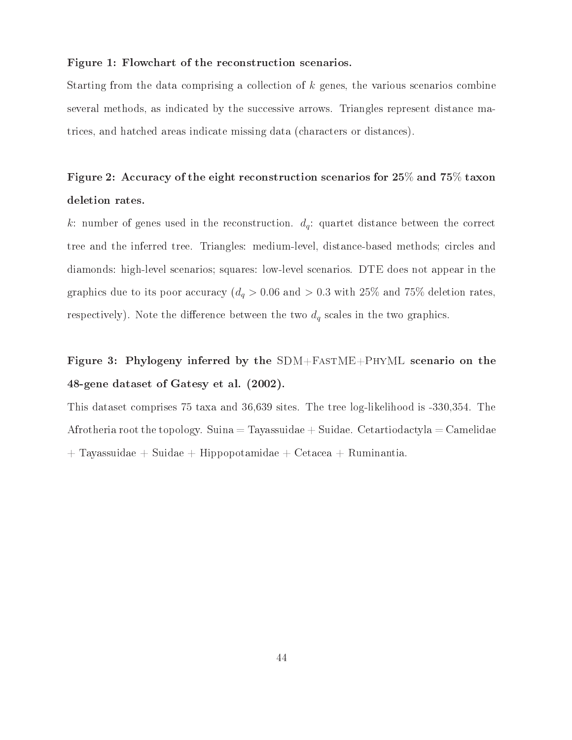#### Figure 1: Flowchart of the reconstruction scenarios.

Starting from the data comprising a collection of  $k$  genes, the various scenarios combine several methods, as indicated by the successive arrows. Triangles represent distance matrices, and hatched areas indicate missing data (characters or distances).

# Figure 2: Accuracy of the eight reconstruction scenarios for **<sup>25</sup>**% and **<sup>75</sup>**% taxon deletion rates.

k: number of genes used in the reconstruction.  $d_q$ : quartet distance between the correct tree and the inferred tree. Triangles: medium-level, distance-based methods; circles and diamonds: high-level scenarios; squares: low-level scenarios. DTE does not appear in the graphics due to its poor accuracy ( $d_q > 0.06$  and  $> 0.3$  with 25% and 75% deletion rates, respectively). Note the difference between the two  $d_q$  scales in the two graphics.

# Figure 3: Phylogeny inferred by the SDM+FastME+PhyML scenario on the 48-gene dataset of Gatesy et al. (2002).

This dataset comprises 75 taxa and 36,639 sites. The tree log-likelihood is -330,354. The Afrotheria root the topology. Suina  $=$  Tayassuidae  $+$  Suidae. Cetartiodactyla  $=$  Camelidae  $+$  Tayassuidae + Suidae + Hippopotamidae + Cetacea + Ruminantia.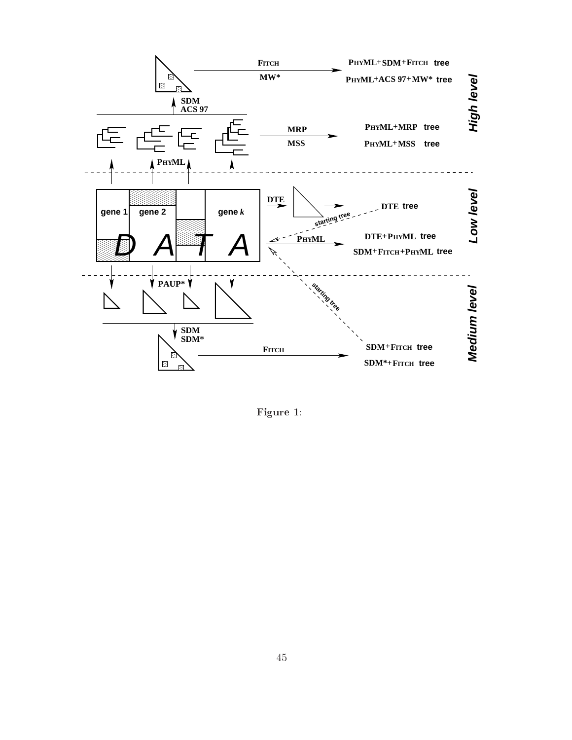

Figure 1: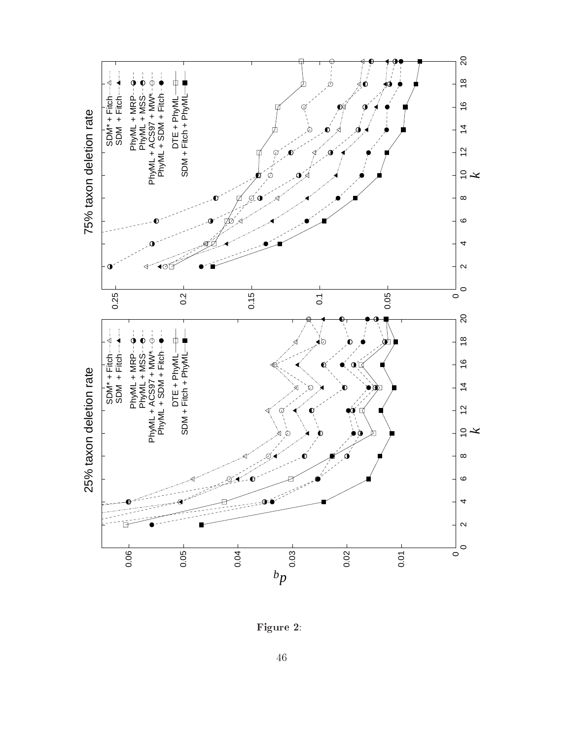

Figure 2 :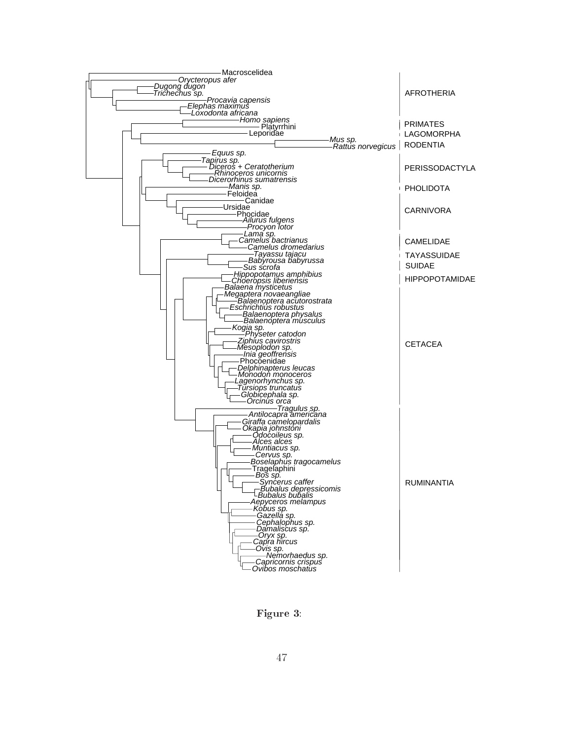

Figure 3: